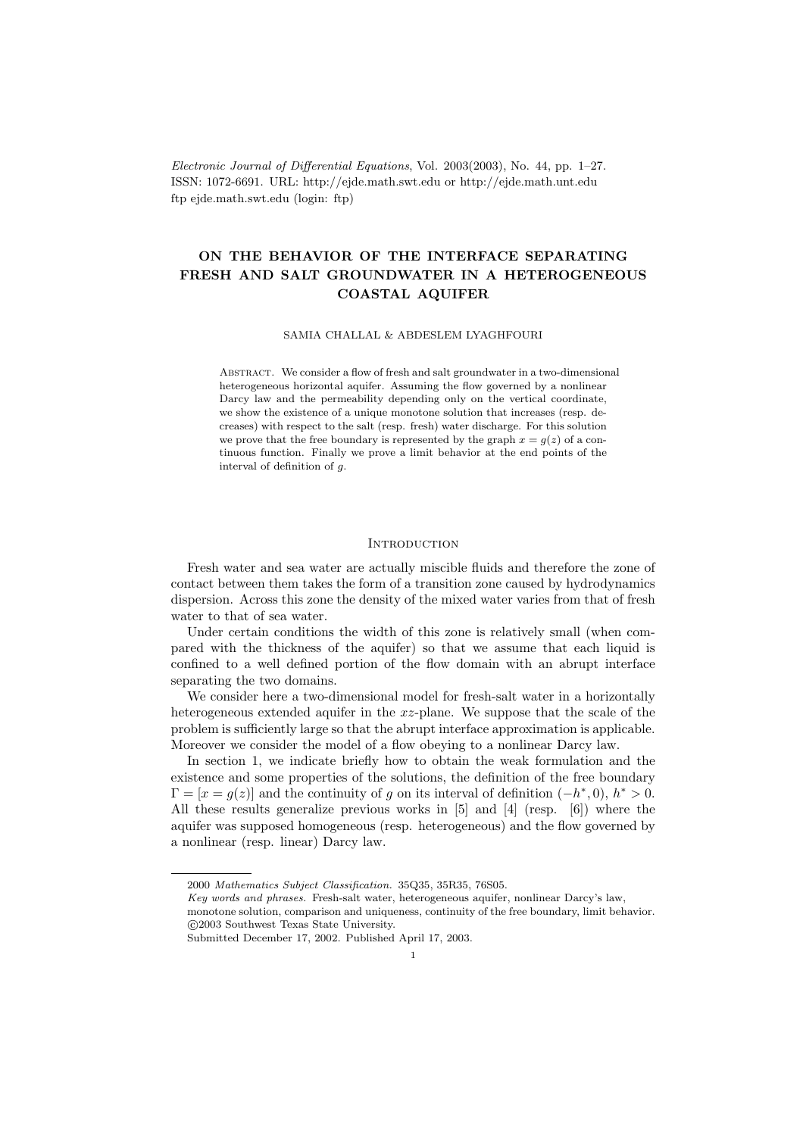Electronic Journal of Differential Equations, Vol. 2003(2003), No. 44, pp. 1–27. ISSN: 1072-6691. URL: http://ejde.math.swt.edu or http://ejde.math.unt.edu ftp ejde.math.swt.edu (login: ftp)

# ON THE BEHAVIOR OF THE INTERFACE SEPARATING FRESH AND SALT GROUNDWATER IN A HETEROGENEOUS COASTAL AQUIFER

### SAMIA CHALLAL & ABDESLEM LYAGHFOURI

Abstract. We consider a flow of fresh and salt groundwater in a two-dimensional heterogeneous horizontal aquifer. Assuming the flow governed by a nonlinear Darcy law and the permeability depending only on the vertical coordinate, we show the existence of a unique monotone solution that increases (resp. decreases) with respect to the salt (resp. fresh) water discharge. For this solution we prove that the free boundary is represented by the graph  $x = q(z)$  of a continuous function. Finally we prove a limit behavior at the end points of the interval of definition of g.

## **INTRODUCTION**

Fresh water and sea water are actually miscible fluids and therefore the zone of contact between them takes the form of a transition zone caused by hydrodynamics dispersion. Across this zone the density of the mixed water varies from that of fresh water to that of sea water.

Under certain conditions the width of this zone is relatively small (when compared with the thickness of the aquifer) so that we assume that each liquid is confined to a well defined portion of the flow domain with an abrupt interface separating the two domains.

We consider here a two-dimensional model for fresh-salt water in a horizontally heterogeneous extended aquifer in the xz-plane. We suppose that the scale of the problem is sufficiently large so that the abrupt interface approximation is applicable. Moreover we consider the model of a flow obeying to a nonlinear Darcy law.

In section 1, we indicate briefly how to obtain the weak formulation and the existence and some properties of the solutions, the definition of the free boundary  $\Gamma = [x = g(z)]$  and the continuity of g on its interval of definition  $(-h^*, 0)$ ,  $h^* > 0$ . All these results generalize previous works in [5] and [4] (resp. [6]) where the aquifer was supposed homogeneous (resp. heterogeneous) and the flow governed by a nonlinear (resp. linear) Darcy law.

<sup>2000</sup> Mathematics Subject Classification. 35Q35, 35R35, 76S05.

Key words and phrases. Fresh-salt water, heterogeneous aquifer, nonlinear Darcy's law,

monotone solution, comparison and uniqueness, continuity of the free boundary, limit behavior. c 2003 Southwest Texas State University.

Submitted December 17, 2002. Published April 17, 2003.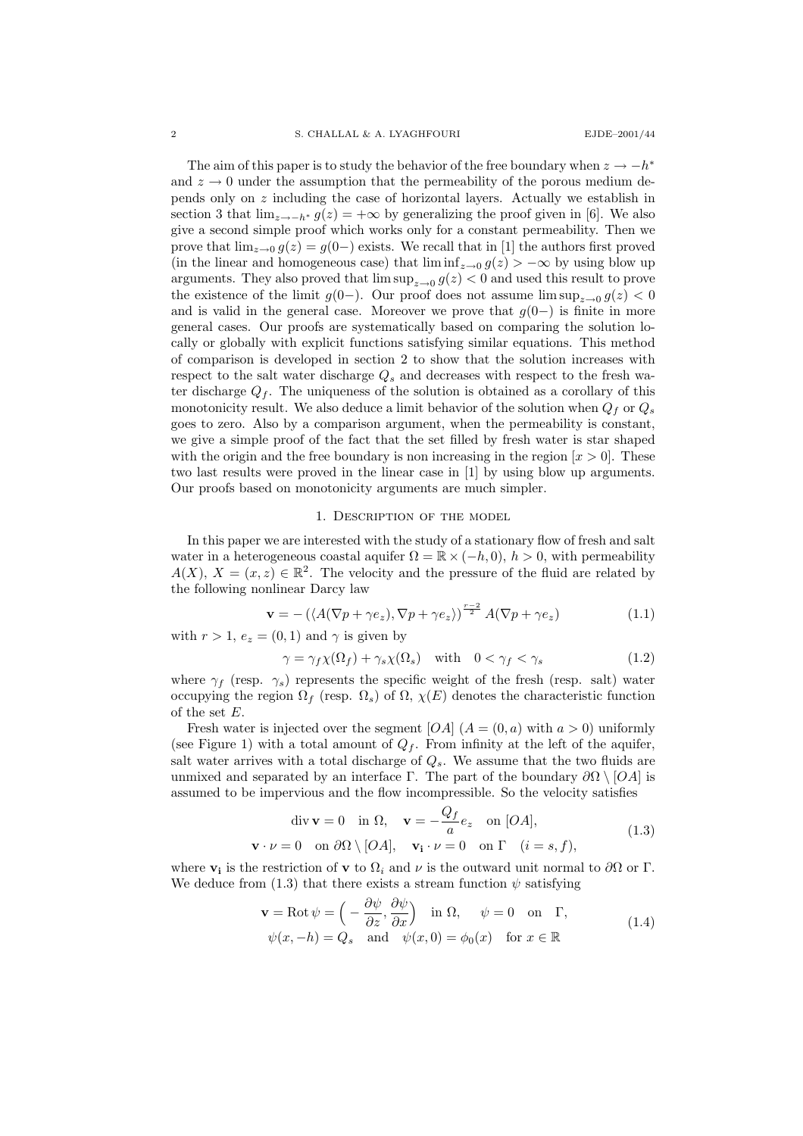The aim of this paper is to study the behavior of the free boundary when  $z \to -h^*$ and  $z \to 0$  under the assumption that the permeability of the porous medium depends only on z including the case of horizontal layers. Actually we establish in section 3 that  $\lim_{z\to -h^*} g(z) = +\infty$  by generalizing the proof given in [6]. We also give a second simple proof which works only for a constant permeability. Then we prove that  $\lim_{z\to 0} g(z) = g(0-)$  exists. We recall that in [1] the authors first proved (in the linear and homogeneous case) that  $\liminf_{z\to 0} g(z) > -\infty$  by using blow up arguments. They also proved that  $\limsup_{z\to 0} g(z) < 0$  and used this result to prove the existence of the limit  $g(0-)$ . Our proof does not assume  $\limsup_{z\to 0} g(z) < 0$ and is valid in the general case. Moreover we prove that  $g(0-)$  is finite in more general cases. Our proofs are systematically based on comparing the solution locally or globally with explicit functions satisfying similar equations. This method of comparison is developed in section 2 to show that the solution increases with respect to the salt water discharge  $Q_s$  and decreases with respect to the fresh water discharge  $Q_f$ . The uniqueness of the solution is obtained as a corollary of this monotonicity result. We also deduce a limit behavior of the solution when  $Q_f$  or  $Q_s$ goes to zero. Also by a comparison argument, when the permeability is constant, we give a simple proof of the fact that the set filled by fresh water is star shaped with the origin and the free boundary is non increasing in the region  $[x > 0]$ . These two last results were proved in the linear case in [1] by using blow up arguments. Our proofs based on monotonicity arguments are much simpler.

#### 1. Description of the model

In this paper we are interested with the study of a stationary flow of fresh and salt water in a heterogeneous coastal aquifer  $\Omega = \mathbb{R} \times (-h, 0), h > 0$ , with permeability  $A(X), X = (x, z) \in \mathbb{R}^2$ . The velocity and the pressure of the fluid are related by the following nonlinear Darcy law

$$
\mathbf{v} = -\left(\langle A(\nabla p + \gamma e_z), \nabla p + \gamma e_z \rangle\right)^{\frac{r-2}{2}} A(\nabla p + \gamma e_z)
$$
(1.1)

with  $r > 1$ ,  $e_z = (0, 1)$  and  $\gamma$  is given by

$$
\gamma = \gamma_f \chi(\Omega_f) + \gamma_s \chi(\Omega_s) \quad \text{with} \quad 0 < \gamma_f < \gamma_s \tag{1.2}
$$

where  $\gamma_f$  (resp.  $\gamma_s$ ) represents the specific weight of the fresh (resp. salt) water occupying the region  $\Omega_f$  (resp.  $\Omega_s$ ) of  $\Omega$ ,  $\chi(E)$  denotes the characteristic function of the set E.

Fresh water is injected over the segment  $[OA]$   $(A = (0, a)$  with  $a > 0)$  uniformly (see Figure 1) with a total amount of  $Q_f$ . From infinity at the left of the aquifer, salt water arrives with a total discharge of  $Q_s$ . We assume that the two fluids are unmixed and separated by an interface Γ. The part of the boundary  $\partial\Omega \setminus [OA]$  is assumed to be impervious and the flow incompressible. So the velocity satisfies

$$
\text{div } \mathbf{v} = 0 \quad \text{in } \Omega, \quad \mathbf{v} = -\frac{Q_f}{a} e_z \quad \text{on } [OA],
$$
\n
$$
\mathbf{v} \cdot \nu = 0 \quad \text{on } \partial\Omega \setminus [OA], \quad \mathbf{v}_i \cdot \nu = 0 \quad \text{on } \Gamma \quad (i = s, f),
$$
\n(1.3)

where  $\mathbf{v}_i$  is the restriction of  $\mathbf{v}$  to  $\Omega_i$  and  $\nu$  is the outward unit normal to  $\partial\Omega$  or  $\Gamma$ . We deduce from (1.3) that there exists a stream function  $\psi$  satisfying

$$
\mathbf{v} = \text{Rot}\,\psi = \left(-\frac{\partial\psi}{\partial z}, \frac{\partial\psi}{\partial x}\right) \quad \text{in } \Omega, \quad \psi = 0 \quad \text{on } \quad \Gamma,
$$
  

$$
\psi(x, -h) = Q_s \quad \text{and} \quad \psi(x, 0) = \phi_0(x) \quad \text{for } x \in \mathbb{R}
$$
 (1.4)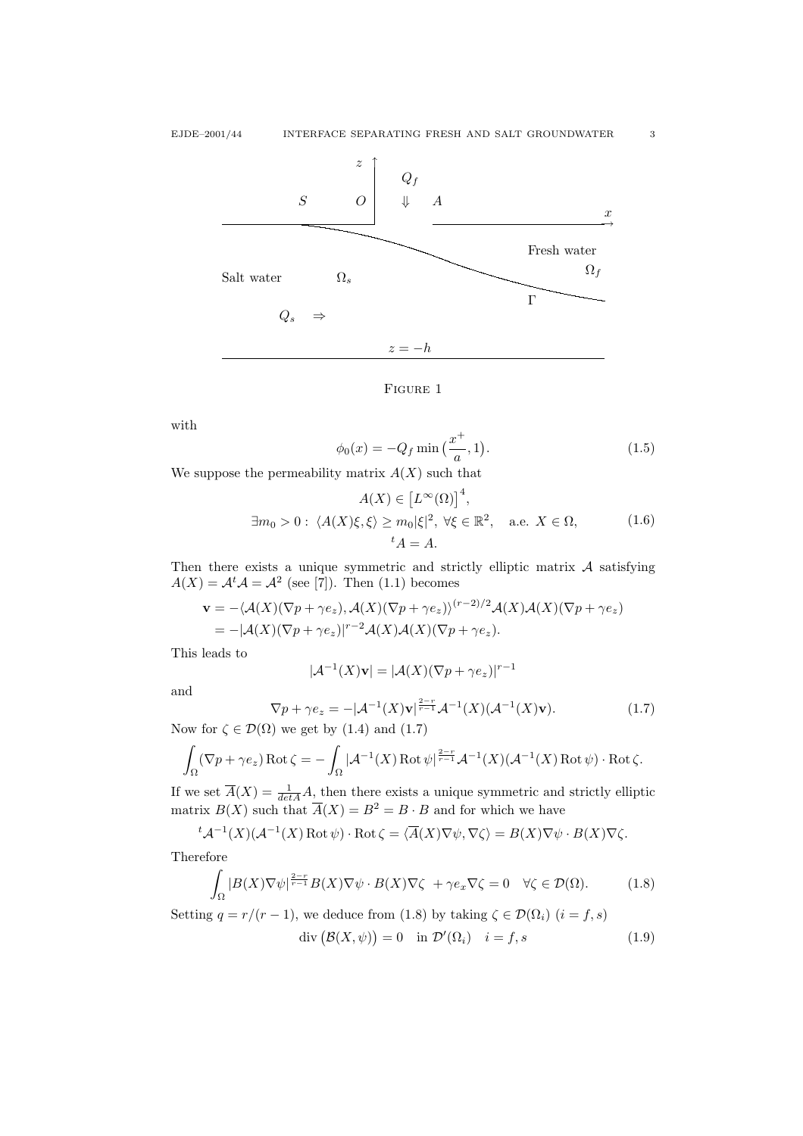



with

$$
\phi_0(x) = -Q_f \min\left(\frac{x^+}{a}, 1\right). \tag{1.5}
$$

We suppose the permeability matrix  $A(X)$  such that

$$
A(X) \in [L^{\infty}(\Omega)]^{4},
$$
  
\n
$$
\exists m_0 > 0: \ \langle A(X)\xi, \xi \rangle \ge m_0 |\xi|^2, \ \forall \xi \in \mathbb{R}^2, \quad \text{a.e. } X \in \Omega,
$$
\n
$$
t_A = A.
$$
\n(1.6)

Then there exists a unique symmetric and strictly elliptic matrix  $A$  satisfying  $A(X) = A<sup>t</sup> A = A<sup>2</sup>$  (see [7]). Then (1.1) becomes

$$
\mathbf{v} = -\langle \mathcal{A}(X)(\nabla p + \gamma e_z), \mathcal{A}(X)(\nabla p + \gamma e_z) \rangle^{(r-2)/2} \mathcal{A}(X) \mathcal{A}(X)(\nabla p + \gamma e_z)
$$
  
= -|\mathcal{A}(X)(\nabla p + \gamma e\_z)|^{r-2} \mathcal{A}(X) \mathcal{A}(X)(\nabla p + \gamma e\_z).

This leads to

$$
|\mathcal{A}^{-1}(X)\mathbf{v}| = |\mathcal{A}(X)(\nabla p + \gamma e_z)|^{r-1}
$$

and

$$
\nabla p + \gamma e_z = -|\mathcal{A}^{-1}(X)\mathbf{v}|^{\frac{2-r}{r-1}}\mathcal{A}^{-1}(X)(\mathcal{A}^{-1}(X)\mathbf{v}).
$$
\n(1.7)  
\n(0) we get by (1.4) and (1.7)

Now for  $\zeta \in \mathcal{D}(\Omega)$  we get by (1.4) and

$$
\int_{\Omega} (\nabla p + \gamma e_z) \operatorname{Rot} \zeta = -\int_{\Omega} |\mathcal{A}^{-1}(X) \operatorname{Rot} \psi|_{\overline{r-1}}^{\frac{2-r}{r-1}} \mathcal{A}^{-1}(X) (\mathcal{A}^{-1}(X) \operatorname{Rot} \psi) \cdot \operatorname{Rot} \zeta.
$$

If we set  $\overline{A}(X) = \frac{1}{\det A} A$ , then there exists a unique symmetric and strictly elliptic matrix  $B(X)$  such that  $\overline{A}(X) = B^2 = B \cdot B$  and for which we have

$$
{}^{t} \mathcal{A}^{-1}(X) (\mathcal{A}^{-1}(X) \operatorname{Rot} \psi) \cdot \operatorname{Rot} \zeta = \langle \overline{A}(X) \nabla \psi, \nabla \zeta \rangle = B(X) \nabla \psi \cdot B(X) \nabla \zeta.
$$

Therefore

$$
\int_{\Omega} |B(X)\nabla \psi|^{\frac{2-r}{r-1}} B(X)\nabla \psi \cdot B(X)\nabla \zeta + \gamma e_x \nabla \zeta = 0 \quad \forall \zeta \in \mathcal{D}(\Omega). \tag{1.8}
$$

Setting  $q = r/(r-1)$ , we deduce from (1.8) by taking  $\zeta \in \mathcal{D}(\Omega_i)$   $(i = f, s)$ 

$$
\operatorname{div} (\mathcal{B}(X,\psi)) = 0 \quad \text{in } \mathcal{D}'(\Omega_i) \quad i = f, s \tag{1.9}
$$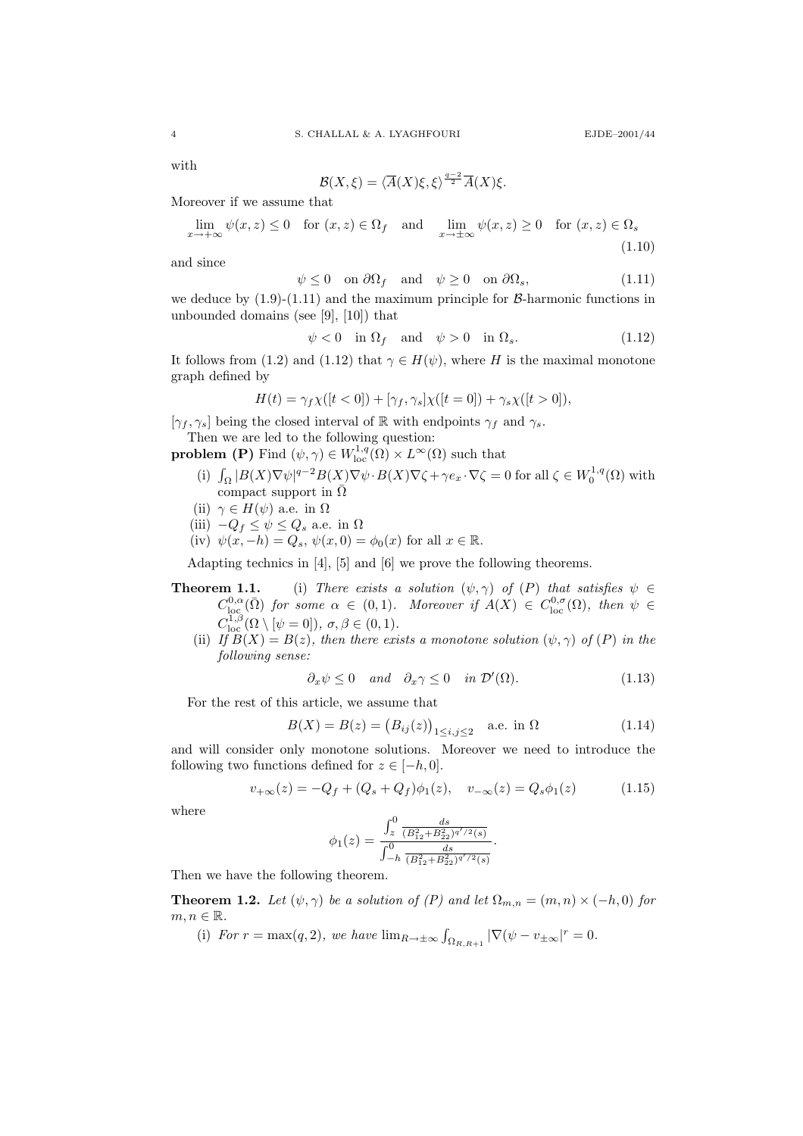with

$$
\mathcal{B}(X,\xi)=\langle \overline{A}(X)\xi,\xi\rangle^{\frac{q-2}{2}}\overline{A}(X)\xi.
$$

Moreover if we assume that

$$
\lim_{x \to +\infty} \psi(x, z) \le 0 \quad \text{for } (x, z) \in \Omega_f \quad \text{and} \quad \lim_{x \to \pm\infty} \psi(x, z) \ge 0 \quad \text{for } (x, z) \in \Omega_s
$$
\n(1.10)

and since

$$
\psi \le 0 \quad \text{on } \partial \Omega_f \quad \text{and} \quad \psi \ge 0 \quad \text{on } \partial \Omega_s,\tag{1.11}
$$

we deduce by  $(1.9)-(1.11)$  and the maximum principle for  $\beta$ -harmonic functions in unbounded domains (see [9], [10]) that

$$
\psi < 0 \quad \text{in } \Omega_f \quad \text{and} \quad \psi > 0 \quad \text{in } \Omega_s. \tag{1.12}
$$

It follows from (1.2) and (1.12) that  $\gamma \in H(\psi)$ , where H is the maximal monotone graph defined by

$$
H(t) = \gamma_f \chi([t < 0]) + [\gamma_f, \gamma_s] \chi([t = 0]) + \gamma_s \chi([t > 0]),
$$

 $[\gamma_f, \gamma_s]$  being the closed interval of R with endpoints  $\gamma_f$  and  $\gamma_s$ .

Then we are led to the following question:

- **problem (P)** Find  $(\psi, \gamma) \in W^{1,q}_{loc}(\Omega) \times L^{\infty}(\Omega)$  such that
	- (i)  $\int_{\Omega} |B(X)\nabla \psi|^{q-2} B(X) \nabla \psi \cdot B(X) \nabla \zeta + \gamma e_x \cdot \nabla \zeta = 0$  for all  $\zeta \in W_0^{1,q}(\Omega)$  with compact support in  $\overline{\Omega}$
	- (ii)  $\gamma \in H(\psi)$  a.e. in  $\Omega$
	- (iii)  $-Q_f \leq \psi \leq Q_s$  a.e. in  $\Omega$
	- (iv)  $\psi(x, -h) = Q_s$ ,  $\psi(x, 0) = \phi_0(x)$  for all  $x \in \mathbb{R}$ .

Adapting technics in [4], [5] and [6] we prove the following theorems.

- **Theorem 1.1.** (i) There exists a solution  $(\psi, \gamma)$  of  $(P)$  that satisfies  $\psi \in$  $C^{0,\alpha}_{\text{loc}}(\bar\Omega)$  for some  $\alpha \in (0,1)$ . Moreover if  $A(X) \in C^{0,\sigma}_{\text{loc}}(\Omega)$ , then  $\psi \in$  $C^{1,\beta}_{\text{loc}}(\Omega \setminus [\psi = 0]), \sigma, \beta \in (0,1).$ 
	- (ii) If  $B(X) = B(z)$ , then there exists a monotone solution  $(\psi, \gamma)$  of  $(P)$  in the following sense:

$$
\partial_x \psi \le 0 \quad and \quad \partial_x \gamma \le 0 \quad in \ \mathcal{D}'(\Omega). \tag{1.13}
$$

For the rest of this article, we assume that

$$
B(X) = B(z) = (B_{ij}(z))_{1 \le i,j \le 2} \text{ a.e. in } \Omega
$$
 (1.14)

and will consider only monotone solutions. Moreover we need to introduce the following two functions defined for  $z \in [-h, 0]$ .

$$
v_{+\infty}(z) = -Q_f + (Q_s + Q_f)\phi_1(z), \quad v_{-\infty}(z) = Q_s\phi_1(z)
$$
 (1.15)

where

$$
\phi_1(z) = \frac{\int_z^0 \frac{ds}{(B_{12}^2 + B_{22}^2)^{q'/2}(s)}}{\int_{-h}^0 \frac{ds}{(B_{12}^2 + B_{22}^2)^{q'/2}(s)}}.
$$

Then we have the following theorem.

**Theorem 1.2.** Let  $(\psi, \gamma)$  be a solution of  $(P)$  and let  $\Omega_{m,n} = (m, n) \times (-h, 0)$  for  $m, n \in \mathbb{R}$ .

(i) For  $r = \max(q, 2)$ , we have  $\lim_{R \to \pm \infty} \int_{\Omega_{R,R+1}} |\nabla(\psi - v_{\pm \infty})|^r = 0$ .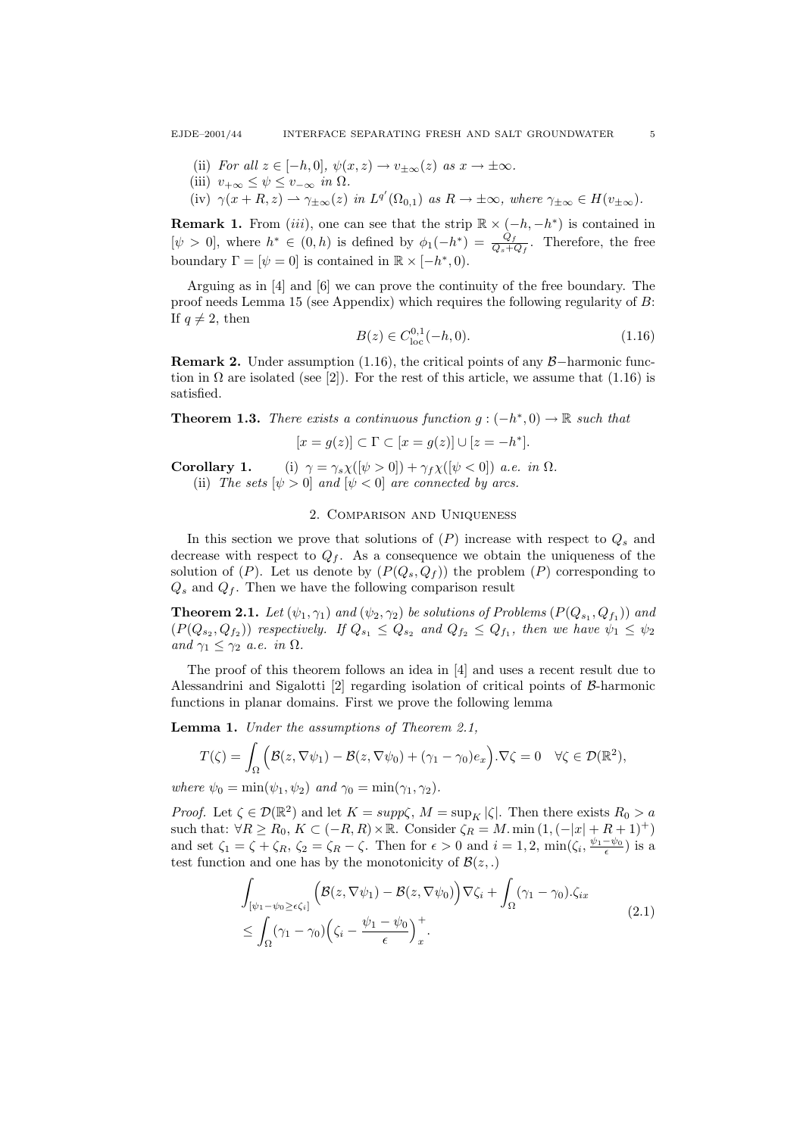- (ii) For all  $z \in [-h, 0], \psi(x, z) \to v_{+\infty}(z)$  as  $x \to \pm \infty$ .
- (iii)  $v_{+\infty} \leq \psi \leq v_{-\infty}$  in  $\Omega$ .
- (iv)  $\gamma(x+R, z) \rightharpoonup \gamma_{\pm \infty}(z)$  in  $L^{q'}(\Omega_{0,1})$  as  $R \to \pm \infty$ , where  $\gamma_{\pm \infty} \in H(v_{\pm \infty})$ .

**Remark 1.** From  $(iii)$ , one can see that the strip  $\mathbb{R} \times (-h, -h^*)$  is contained in  $[\psi > 0]$ , where  $h^* \in (0, h)$  is defined by  $\phi_1(-h^*) = \frac{Q_f}{Q_s + Q_f}$ . Therefore, the free boundary  $\Gamma = [\psi = 0]$  is contained in  $\mathbb{R} \times [-h^*, 0)$ .

Arguing as in [4] and [6] we can prove the continuity of the free boundary. The proof needs Lemma 15 (see Appendix) which requires the following regularity of B: If  $q \neq 2$ , then

$$
B(z) \in C_{\text{loc}}^{0,1}(-h,0). \tag{1.16}
$$

**Remark 2.** Under assumption (1.16), the critical points of any  $\beta$ −harmonic function in  $\Omega$  are isolated (see [2]). For the rest of this article, we assume that (1.16) is satisfied.

**Theorem 1.3.** There exists a continuous function  $g: (-h^*, 0) \to \mathbb{R}$  such that

$$
[x=g(z)]\subset \Gamma\subset [x=g(z)]\cup [z=-h^*].
$$

**Corollary 1.** (i)  $\gamma = \gamma_s \chi([\psi > 0]) + \gamma_f \chi([\psi < 0])$  a.e. in  $\Omega$ .

(ii) The sets  $[\psi > 0]$  and  $[\psi < 0]$  are connected by arcs.

# 2. Comparison and Uniqueness

In this section we prove that solutions of  $(P)$  increase with respect to  $Q_s$  and decrease with respect to  $Q_f$ . As a consequence we obtain the uniqueness of the solution of  $(P)$ . Let us denote by  $(P(Q_s, Q_f))$  the problem  $(P)$  corresponding to  $Q_s$  and  $Q_f$ . Then we have the following comparison result

**Theorem 2.1.** Let  $(\psi_1, \gamma_1)$  and  $(\psi_2, \gamma_2)$  be solutions of Problems  $(P(Q_{s_1}, Q_{f_1}))$  and  $(P(Q_{s_2}, Q_{f_2}))$  respectively. If  $Q_{s_1} \leq Q_{s_2}$  and  $Q_{f_2} \leq Q_{f_1}$ , then we have  $\psi_1 \leq \psi_2$ and  $\gamma_1 \leq \gamma_2$  a.e. in  $\Omega$ .

The proof of this theorem follows an idea in [4] and uses a recent result due to Alessandrini and Sigalotti [2] regarding isolation of critical points of B-harmonic functions in planar domains. First we prove the following lemma

Lemma 1. Under the assumptions of Theorem 2.1,

$$
T(\zeta) = \int_{\Omega} \left( \mathcal{B}(z, \nabla \psi_1) - \mathcal{B}(z, \nabla \psi_0) + (\gamma_1 - \gamma_0) e_x \right) . \nabla \zeta = 0 \quad \forall \zeta \in \mathcal{D}(\mathbb{R}^2),
$$

where  $\psi_0 = \min(\psi_1, \psi_2)$  and  $\gamma_0 = \min(\gamma_1, \gamma_2)$ .

*Proof.* Let  $\zeta \in \mathcal{D}(\mathbb{R}^2)$  and let  $K = \text{supp}\zeta$ ,  $M = \text{sup}_K |\zeta|$ . Then there exists  $R_0 > a$ such that:  $\forall R \ge R_0, K \subset (-R, R) \times \mathbb{R}$ . Consider  $\zeta_R = M$ . min  $(1, (-|x| + R + 1)^+)$ and set  $\zeta_1 = \zeta + \zeta_R$ ,  $\zeta_2 = \zeta_R - \zeta$ . Then for  $\epsilon > 0$  and  $i = 1, 2$ ,  $\min(\zeta_i, \frac{\psi_1 - \psi_0}{\epsilon})$  is a test function and one has by the monotonicity of  $\mathcal{B}(z,.)$ 

$$
\int_{\left[\psi_1 - \psi_0 \ge \epsilon \zeta_i\right]} \left( \mathcal{B}(z, \nabla \psi_1) - \mathcal{B}(z, \nabla \psi_0) \right) \nabla \zeta_i + \int_{\Omega} (\gamma_1 - \gamma_0) . \zeta_{ix} \n\le \int_{\Omega} (\gamma_1 - \gamma_0) \left( \zeta_i - \frac{\psi_1 - \psi_0}{\epsilon} \right)_x^+.
$$
\n(2.1)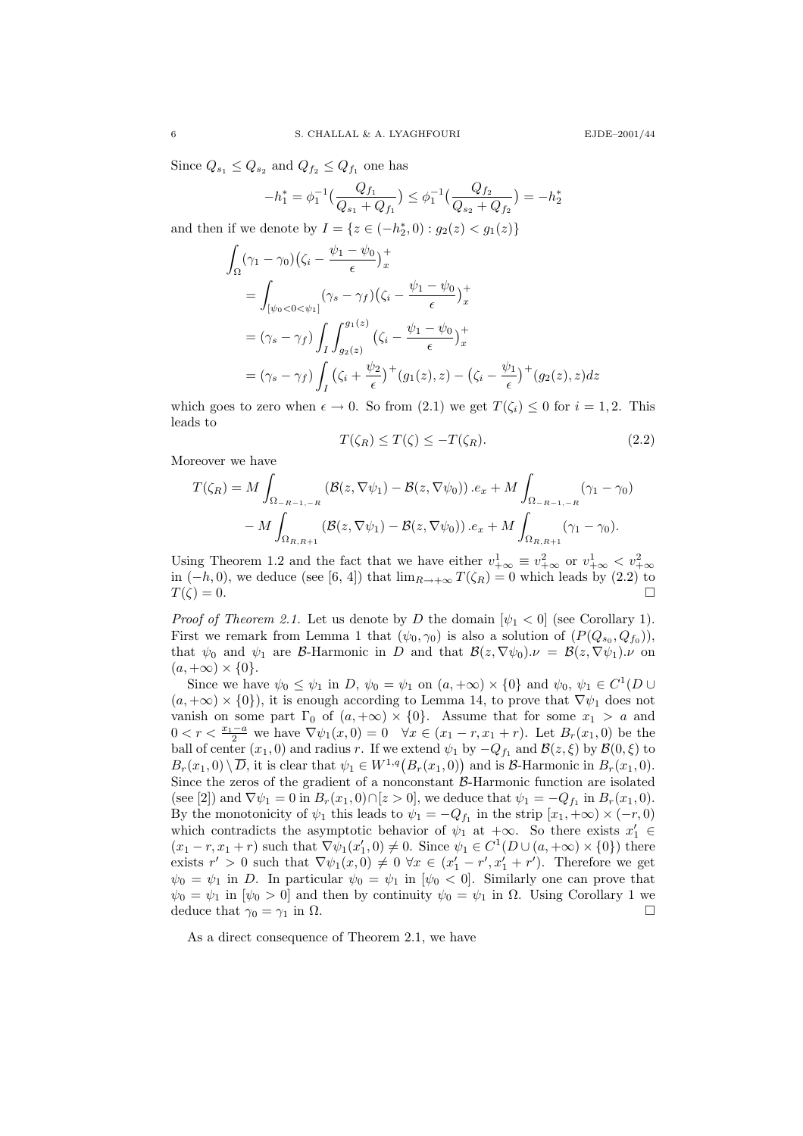Since  $Q_{s_1} \leq Q_{s_2}$  and  $Q_{f_2} \leq Q_{f_1}$  one has

$$
-h_1^* = \phi_1^{-1}\left(\frac{Q_{f_1}}{Q_{s_1} + Q_{f_1}}\right) \le \phi_1^{-1}\left(\frac{Q_{f_2}}{Q_{s_2} + Q_{f_2}}\right) = -h_2^*
$$

and then if we denote by  $I = \{ z \in (-h_2^*, 0) : g_2(z) < g_1(z) \}$ 

$$
\int_{\Omega} (\gamma_1 - \gamma_0) \left( \zeta_i - \frac{\psi_1 - \psi_0}{\epsilon} \right)_x^+
$$
\n
$$
= \int_{[\psi_0 < 0 < \psi_1]} (\gamma_s - \gamma_f) \left( \zeta_i - \frac{\psi_1 - \psi_0}{\epsilon} \right)_x^+
$$
\n
$$
= (\gamma_s - \gamma_f) \int_I \int_{g_2(z)}^{g_1(z)} \left( \zeta_i - \frac{\psi_1 - \psi_0}{\epsilon} \right)_x^+
$$
\n
$$
= (\gamma_s - \gamma_f) \int_I \left( \zeta_i + \frac{\psi_2}{\epsilon} \right)_x^+ (g_1(z), z) - \left( \zeta_i - \frac{\psi_1}{\epsilon} \right)_x^+ (g_2(z), z) dz
$$

which goes to zero when  $\epsilon \to 0$ . So from  $(2.1)$  we get  $T(\zeta_i) \leq 0$  for  $i = 1, 2$ . This leads to

$$
T(\zeta_R) \le T(\zeta) \le -T(\zeta_R). \tag{2.2}
$$

Moreover we have

$$
T(\zeta_R) = M \int_{\Omega_{-R-1,-R}} (\mathcal{B}(z, \nabla \psi_1) - \mathcal{B}(z, \nabla \psi_0)) \cdot e_x + M \int_{\Omega_{-R-1,-R}} (\gamma_1 - \gamma_0) - M \int_{\Omega_{R,R+1}} (\mathcal{B}(z, \nabla \psi_1) - \mathcal{B}(z, \nabla \psi_0)) \cdot e_x + M \int_{\Omega_{R,R+1}} (\gamma_1 - \gamma_0).
$$

Using Theorem 1.2 and the fact that we have either  $v_{+\infty}^1 \equiv v_{+\infty}^2$  or  $v_{+\infty}^1 < v_{+\infty}^2$ in  $(-h, 0)$ , we deduce (see [6, 4]) that  $\lim_{R\to+\infty} T(\zeta_R) = 0$  which leads by (2.2) to  $T(\zeta) = 0.$ 

*Proof of Theorem 2.1.* Let us denote by D the domain  $[\psi_1] < 0$  (see Corollary 1). First we remark from Lemma 1 that  $(\psi_0, \gamma_0)$  is also a solution of  $(P(Q_{s_0}, Q_{f_0}))$ , that  $\psi_0$  and  $\psi_1$  are B-Harmonic in D and that  $\mathcal{B}(z, \nabla \psi_0) \cdot \nu = \mathcal{B}(z, \nabla \psi_1) \cdot \nu$  on  $(a, +\infty) \times \{0\}.$ 

Since we have  $\psi_0 \leq \psi_1$  in D,  $\psi_0 = \psi_1$  on  $(a, +\infty) \times \{0\}$  and  $\psi_0, \psi_1 \in C^1(D \cup$  $(a, +\infty) \times \{0\}$ , it is enough according to Lemma 14, to prove that  $\nabla \psi_1$  does not vanish on some part  $\Gamma_0$  of  $(a, +\infty) \times \{0\}$ . Assume that for some  $x_1 > a$  and 0 <  $r < \frac{x_1-a}{2}$  we have  $\nabla \psi_1(x,0) = 0$   $\forall x \in (x_1 - r, x_1 + r)$ . Let  $B_r(x_1,0)$  be the ball of center  $(x_1, 0)$  and radius r. If we extend  $\psi_1$  by  $-Q_{f_1}$  and  $\mathcal{B}(z, \xi)$  by  $\mathcal{B}(0, \xi)$  to  $B_r(x_1,0) \setminus \overline{D}$ , it is clear that  $\psi_1 \in W^{1,q}(B_r(x_1,0))$  and is B-Harmonic in  $B_r(x_1,0)$ . Since the zeros of the gradient of a nonconstant  $\beta$ -Harmonic function are isolated (see [2]) and  $\nabla \psi_1 = 0$  in  $B_r(x_1, 0) \cap [z > 0]$ , we deduce that  $\psi_1 = -Q_{f_1}$  in  $B_r(x_1, 0)$ . By the monotonicity of  $\psi_1$  this leads to  $\psi_1 = -Q_{f_1}$  in the strip  $[x_1, +\infty) \times (-r, 0)$ which contradicts the asymptotic behavior of  $\psi_1$  at  $+\infty$ . So there exists  $x'_1 \in$  $(x_1 - r, x_1 + r)$  such that  $\nabla \psi_1(x'_1, 0) \neq 0$ . Since  $\psi_1 \in C^1(D \cup (a, +\infty) \times \{0\})$  there exists  $r' > 0$  such that  $\nabla \psi_1(x,0) \neq 0 \,\forall x \in (x'_1 - r', x'_1 + r')$ . Therefore we get  $\psi_0 = \psi_1$  in D. In particular  $\psi_0 = \psi_1$  in  $[\psi_0 < 0]$ . Similarly one can prove that  $\psi_0 = \psi_1$  in  $[\psi_0 > 0]$  and then by continuity  $\psi_0 = \psi_1$  in  $\Omega$ . Using Corollary 1 we deduce that  $\gamma_0 = \gamma_1$  in  $\Omega$ .

As a direct consequence of Theorem 2.1, we have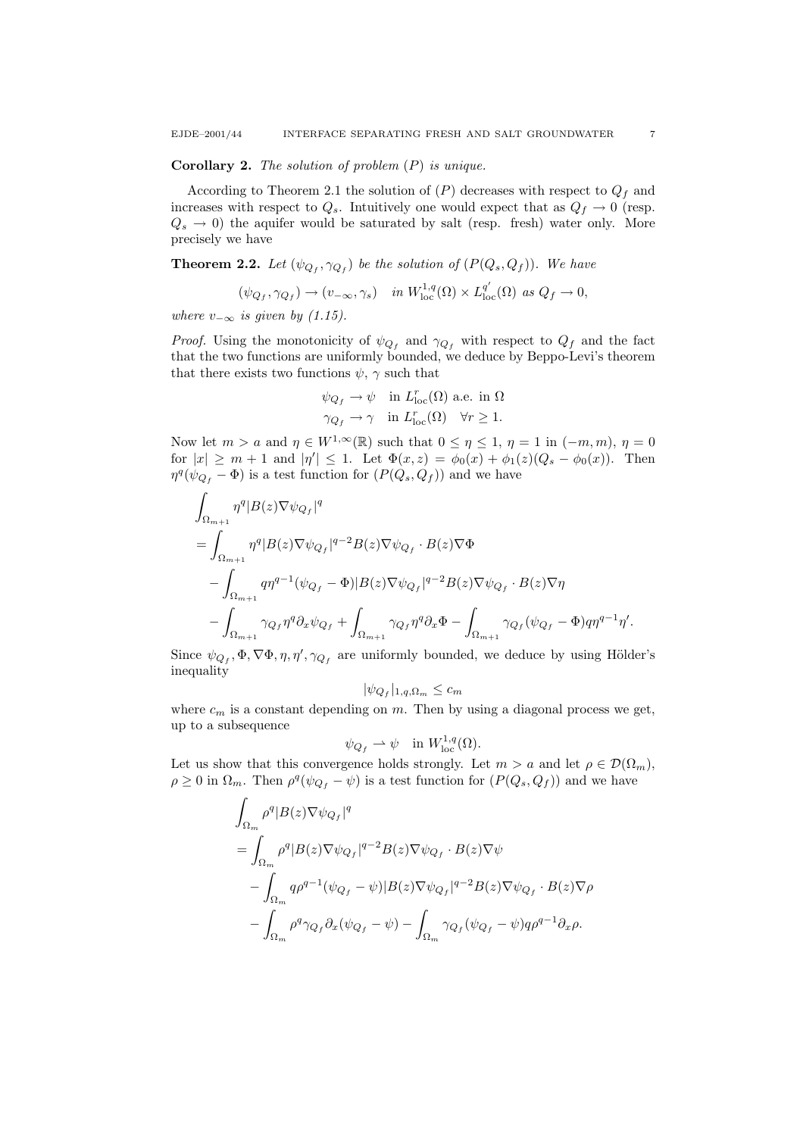#### **Corollary 2.** The solution of problem  $(P)$  is unique.

According to Theorem 2.1 the solution of  $(P)$  decreases with respect to  $Q_f$  and increases with respect to  $Q_s$ . Intuitively one would expect that as  $Q_f \to 0$  (resp.  $Q_s \rightarrow 0$ ) the aquifer would be saturated by salt (resp. fresh) water only. More precisely we have

**Theorem 2.2.** Let  $(\psi_{Q_f}, \gamma_{Q_f})$  be the solution of  $(P(Q_s, Q_f))$ . We have

$$
(\psi_{Q_f}, \gamma_{Q_f}) \to (v_{-\infty}, \gamma_s) \quad in \ W^{1,q}_{\mathrm{loc}}(\Omega) \times L^{q'}_{\mathrm{loc}}(\Omega) \ \text{as} \ Q_f \to 0,
$$

where  $v_{-\infty}$  is given by (1.15).

*Proof.* Using the monotonicity of  $\psi_{Q_f}$  and  $\gamma_{Q_f}$  with respect to  $Q_f$  and the fact that the two functions are uniformly bounded, we deduce by Beppo-Levi's theorem that there exists two functions  $\psi$ ,  $\gamma$  such that

$$
\begin{aligned}\n\psi_{Q_f} \to \psi &\quad \text{in } L^r_{\text{loc}}(\Omega) \text{ a.e. in } \Omega\\ \gamma_{Q_f} \to \gamma &\quad \text{in } L^r_{\text{loc}}(\Omega) \quad \forall r \ge 1.\n\end{aligned}
$$

Now let  $m > a$  and  $\eta \in W^{1,\infty}(\mathbb{R})$  such that  $0 \leq \eta \leq 1$ ,  $\eta = 1$  in  $(-m, m)$ ,  $\eta = 0$ for  $|x| \ge m+1$  and  $|\eta'| \le 1$ . Let  $\Phi(x, z) = \phi_0(x) + \phi_1(z)(Q_s - \phi_0(x))$ . Then  $\eta^q(\psi_{Q_f} - \Phi)$  is a test function for  $(P(Q_s, Q_f))$  and we have

$$
\begin{aligned} &\int_{\Omega_{m+1}} \eta^q |B(z)\nabla \psi_{Q_f}|^q \\ &= \int_{\Omega_{m+1}} \eta^q |B(z)\nabla \psi_{Q_f}|^{q-2} B(z)\nabla \psi_{Q_f} \cdot B(z)\nabla \Phi \\ &\quad - \int_{\Omega_{m+1}} q \eta^{q-1} (\psi_{Q_f} - \Phi) |B(z)\nabla \psi_{Q_f}|^{q-2} B(z)\nabla \psi_{Q_f} \cdot B(z)\nabla \eta \\ &\quad - \int_{\Omega_{m+1}} \gamma_{Q_f} \eta^q \partial_x \psi_{Q_f} + \int_{\Omega_{m+1}} \gamma_{Q_f} \eta^q \partial_x \Phi - \int_{\Omega_{m+1}} \gamma_{Q_f} (\psi_{Q_f} - \Phi) q \eta^{q-1} \eta'. \end{aligned}
$$

Since  $\psi_{Q_f}, \Phi, \nabla \Phi, \eta, \eta', \gamma_{Q_f}$  are uniformly bounded, we deduce by using Hölder's inequality

$$
|\psi_{Q_f}|_{1,q,\Omega_m} \leq c_m
$$

where  $c_m$  is a constant depending on m. Then by using a diagonal process we get, up to a subsequence

$$
\psi_{Q_f} \rightharpoonup \psi \quad \text{in } W^{1,q}_{\text{loc}}(\Omega).
$$

Let us show that this convergence holds strongly. Let  $m > a$  and let  $\rho \in \mathcal{D}(\Omega_m)$ ,  $\rho \geq 0$  in  $\Omega_m$ . Then  $\rho^q(\psi_{Q_f} - \psi)$  is a test function for  $(P(Q_s, Q_f))$  and we have

$$
\int_{\Omega_m} \rho^q |B(z)\nabla \psi_{Q_f}|^q
$$
\n
$$
= \int_{\Omega_m} \rho^q |B(z)\nabla \psi_{Q_f}|^{q-2} B(z)\nabla \psi_{Q_f} \cdot B(z)\nabla \psi
$$
\n
$$
- \int_{\Omega_m} q \rho^{q-1} (\psi_{Q_f} - \psi)|B(z)\nabla \psi_{Q_f}|^{q-2} B(z)\nabla \psi_{Q_f} \cdot B(z)\nabla \rho
$$
\n
$$
- \int_{\Omega_m} \rho^q \gamma_{Q_f} \partial_x (\psi_{Q_f} - \psi) - \int_{\Omega_m} \gamma_{Q_f} (\psi_{Q_f} - \psi) q \rho^{q-1} \partial_x \rho.
$$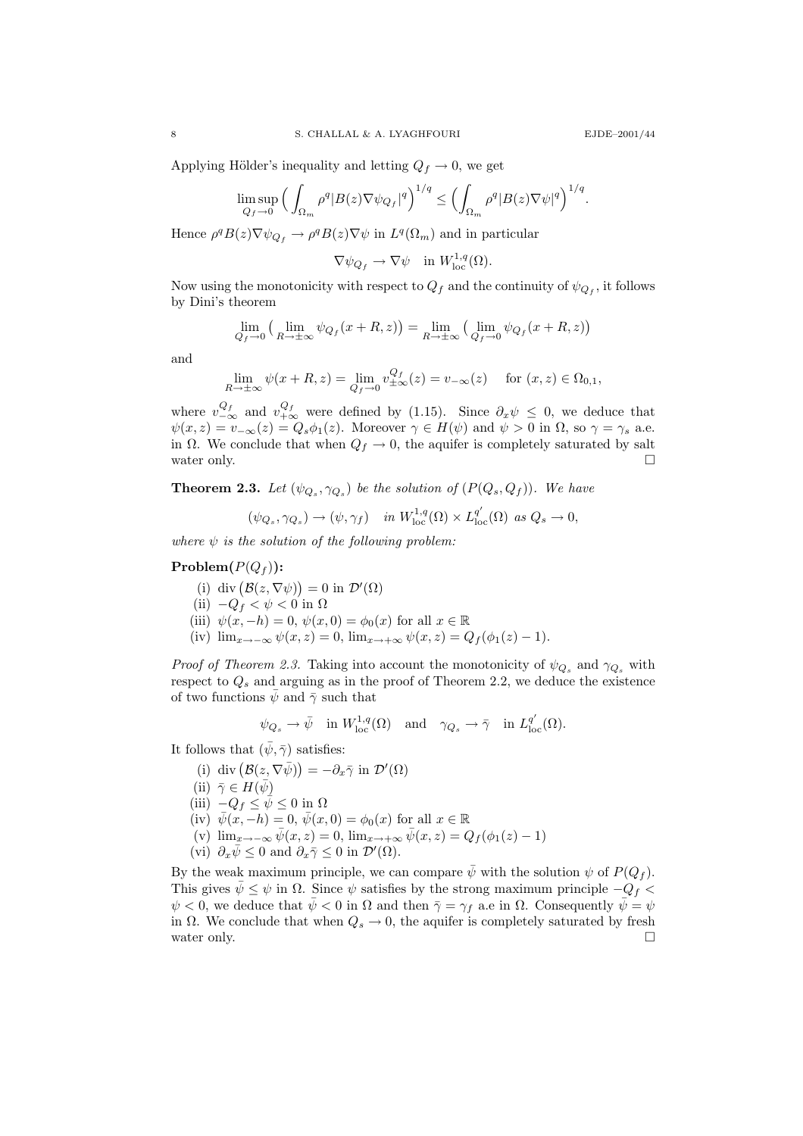Applying Hölder's inequality and letting  $Q_f \rightarrow 0$ , we get

$$
\limsup_{Q_f \to 0} \Big( \int_{\Omega_m} \rho^q |B(z)\nabla \psi_{Q_f}|^q \Big)^{1/q} \le \Big( \int_{\Omega_m} \rho^q |B(z)\nabla \psi|^q \Big)^{1/q}.
$$

Hence  $\rho^q B(z) \nabla \psi_{Q_f} \to \rho^q B(z) \nabla \psi$  in  $L^q(\Omega_m)$  and in particular

 $\nabla \psi_{Q_f} \to \nabla \psi$  in  $W^{1,q}_{loc}(\Omega)$ .

Now using the monotonicity with respect to  $Q_f$  and the continuity of  $\psi_{Q_f}$ , it follows by Dini's theorem

$$
\lim_{Q_f \to 0} \left( \lim_{R \to \pm \infty} \psi_{Q_f}(x + R, z) \right) = \lim_{R \to \pm \infty} \left( \lim_{Q_f \to 0} \psi_{Q_f}(x + R, z) \right)
$$

and

$$
\lim_{R \to \pm \infty} \psi(x + R, z) = \lim_{Q_f \to 0} v_{\pm \infty}^{Q_f}(z) = v_{-\infty}(z) \quad \text{for } (x, z) \in \Omega_{0,1},
$$

where  $v_{-\infty}^{Q_f}$  and  $v_{+\infty}^{Q_f}$  were defined by (1.15). Since  $\partial_x \psi \leq 0$ , we deduce that  $\psi(x, z) = v_{-\infty}(z) = Q_s \phi_1(z)$ . Moreover  $\gamma \in H(\psi)$  and  $\psi > 0$  in  $\Omega$ , so  $\gamma = \gamma_s$  a.e. in  $\Omega$ . We conclude that when  $Q_f \to 0$ , the aquifer is completely saturated by salt water only.  $\Box$ 

**Theorem 2.3.** Let  $(\psi_{Q_s}, \gamma_{Q_s})$  be the solution of  $(P(Q_s, Q_f))$ . We have

$$
(\psi_{Q_s}, \gamma_{Q_s}) \to (\psi, \gamma_f) \quad in \ W^{1,q}_{\mathrm{loc}}(\Omega) \times L^{q'}_{\mathrm{loc}}(\Omega) \text{ as } Q_s \to 0,
$$

where  $\psi$  is the solution of the following problem:

# $Problem(P(Q_f))$ :

- (i) div  $(\mathcal{B}(z,\nabla\psi))=0$  in  $\mathcal{D}'(\Omega)$
- (ii)  $-Q_f < \psi < 0$  in  $\Omega$
- (iii)  $\psi(x, -h) = 0$ ,  $\psi(x, 0) = \phi_0(x)$  for all  $x \in \mathbb{R}$
- (iv)  $\lim_{x \to -\infty} \psi(x, z) = 0$ ,  $\lim_{x \to +\infty} \psi(x, z) = Q_f(\phi_1(z) 1)$ .

*Proof of Theorem 2.3.* Taking into account the monotonicity of  $\psi_{Q_s}$  and  $\gamma_{Q_s}$  with respect to  $Q_s$  and arguing as in the proof of Theorem 2.2, we deduce the existence of two functions  $\bar{\psi}$  and  $\bar{\gamma}$  such that

$$
\psi_{Q_s} \to \bar{\psi} \text{ in } W^{1,q}_{\text{loc}}(\Omega) \text{ and } \gamma_{Q_s} \to \bar{\gamma} \text{ in } L^{q'}_{\text{loc}}(\Omega).
$$

It follows that  $(\bar{\psi}, \bar{\gamma})$  satisfies:

- (i) div  $(\mathcal{B}(z,\nabla\bar{\psi})) = -\partial_x\bar{\gamma}$  in  $\mathcal{D}'(\Omega)$
- (ii)  $\bar{\gamma} \in H(\bar{\psi})$
- (iii)  $-Q_f \leq \bar{\psi} \leq 0$  in  $\Omega$
- (iv)  $\bar{\psi}(x, -h) = 0$ ,  $\bar{\psi}(x, 0) = \phi_0(x)$  for all  $x \in \mathbb{R}$
- (v)  $\lim_{x\to-\infty} \bar{\psi}(x, z) = 0$ ,  $\lim_{x\to+\infty} \bar{\psi}(x, z) = Q_f(\phi_1(z) 1)$
- (vi)  $\partial_x \bar{\psi} \leq 0$  and  $\partial_x \bar{\gamma} \leq 0$  in  $\mathcal{D}'(\Omega)$ .

By the weak maximum principle, we can compare  $\bar{\psi}$  with the solution  $\psi$  of  $P(Q_f)$ . This gives  $\bar{\psi} \leq \psi$  in  $\Omega$ . Since  $\psi$  satisfies by the strong maximum principle  $-Q_f$  $\psi < 0$ , we deduce that  $\bar{\psi} < 0$  in  $\Omega$  and then  $\bar{\gamma} = \gamma_f$  a.e in  $\Omega$ . Consequently  $\bar{\psi} = \psi$ in  $\Omega$ . We conclude that when  $Q_s \to 0$ , the aquifer is completely saturated by fresh water only.  $\Box$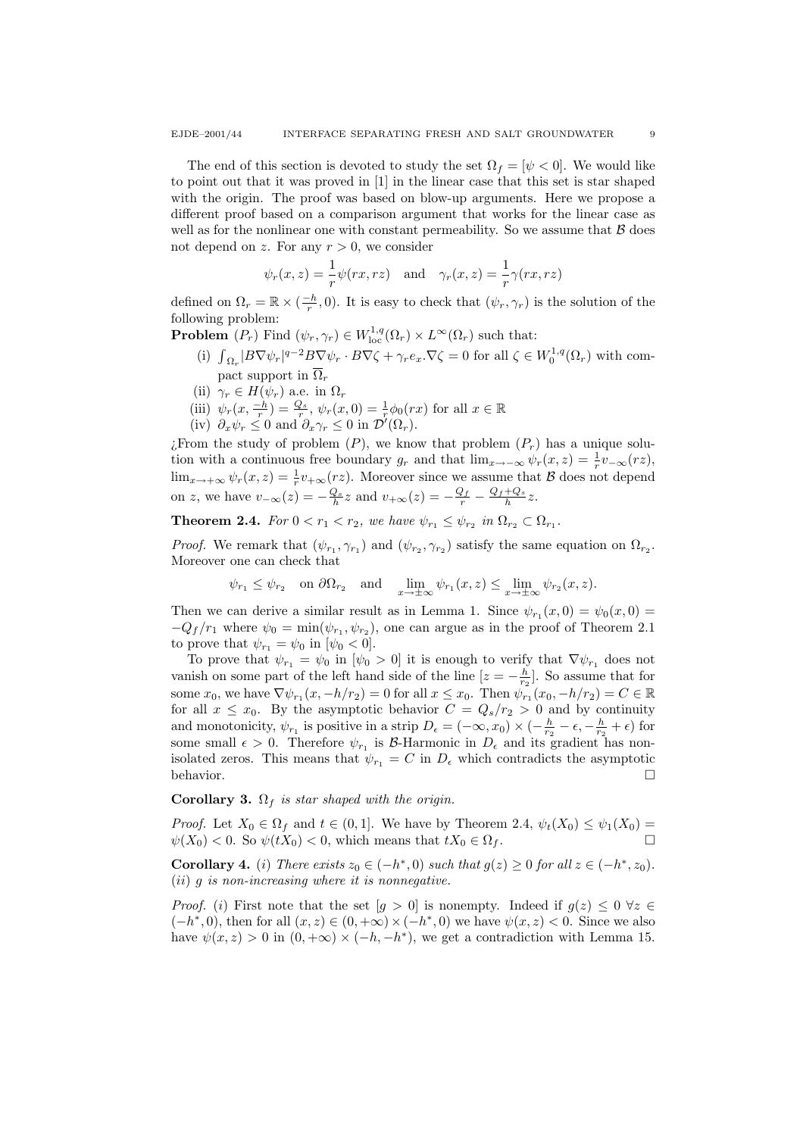The end of this section is devoted to study the set  $\Omega_f = [\psi \lt 0]$ . We would like to point out that it was proved in [1] in the linear case that this set is star shaped with the origin. The proof was based on blow-up arguments. Here we propose a different proof based on a comparison argument that works for the linear case as well as for the nonlinear one with constant permeability. So we assume that  $\beta$  does not depend on z. For any  $r > 0$ , we consider

$$
\psi_r(x, z) = \frac{1}{r}\psi(rx, rz)
$$
 and  $\gamma_r(x, z) = \frac{1}{r}\gamma(rx, rz)$ 

defined on  $\Omega_r = \mathbb{R} \times (\frac{-h}{r}, 0)$ . It is easy to check that  $(\psi_r, \gamma_r)$  is the solution of the following problem:

**Problem**  $(P_r)$  Find  $(\psi_r, \gamma_r) \in W^{1,q}_{loc}(\Omega_r) \times L^{\infty}(\Omega_r)$  such that:

- (i)  $\int_{\Omega_r} |B \nabla \psi_r|^{q-2} B \nabla \psi_r \cdot B \nabla \zeta + \gamma_r e_x \cdot \nabla \zeta = 0$  for all  $\zeta \in W_0^{1,q}(\Omega_r)$  with compact support in  $\overline{\Omega}_i$
- (ii)  $\gamma_r \in H(\psi_r)$  a.e. in  $\Omega_r$
- (iii)  $\psi_r(x, \frac{-h}{r}) = \frac{Q_s}{r}, \psi_r(x, 0) = \frac{1}{r} \phi_0(rx)$  for all  $x \in \mathbb{R}$
- (iv)  $\partial_x \psi_r \leq 0$  and  $\partial_x \gamma_r \leq 0$  in  $\mathcal{D}'(\Omega_r)$ .

¿From the study of problem  $(P)$ , we know that problem  $(P<sub>r</sub>)$  has a unique solution with a continuous free boundary  $g_r$  and that  $\lim_{x \to -\infty} \psi_r(x, z) = \frac{1}{r} v_{-\infty}(rz)$ ,  $\lim_{x\to+\infty}\psi_r(x,z)=\frac{1}{r}v_{+\infty}(rz)$ . Moreover since we assume that  $\mathcal B$  does not depend on z, we have  $v_{-\infty}(z) = -\frac{Q_s}{h}z$  and  $v_{+\infty}(z) = -\frac{Q_f}{r} - \frac{Q_f + Q_s}{h}z$ .

**Theorem 2.4.** For  $0 < r_1 < r_2$ , we have  $\psi_{r_1} \leq \psi_{r_2}$  in  $\Omega_{r_2} \subset \Omega_{r_1}$ .

*Proof.* We remark that  $(\psi_{r_1}, \gamma_{r_1})$  and  $(\psi_{r_2}, \gamma_{r_2})$  satisfy the same equation on  $\Omega_{r_2}$ . Moreover one can check that

$$
\psi_{r_1} \leq \psi_{r_2}
$$
 on  $\partial \Omega_{r_2}$  and  $\lim_{x \to \pm \infty} \psi_{r_1}(x, z) \leq \lim_{x \to \pm \infty} \psi_{r_2}(x, z)$ .

Then we can derive a similar result as in Lemma 1. Since  $\psi_{r_1}(x,0) = \psi_0(x,0) =$  $-Q_f/r_1$  where  $\psi_0 = \min(\psi_{r_1}, \psi_{r_2})$ , one can argue as in the proof of Theorem 2.1 to prove that  $\psi_{r_1} = \psi_0$  in  $[\psi_0 < 0]$ .

To prove that  $\psi_{r_1} = \psi_0$  in  $[\psi_0 > 0]$  it is enough to verify that  $\nabla \psi_{r_1}$  does not vanish on some part of the left hand side of the line  $[z = -\frac{h}{r_2}]$ . So assume that for some  $x_0$ , we have  $\nabla \psi_{r_1}(x, -h/r_2) = 0$  for all  $x \leq x_0$ . Then  $\psi_{r_1}(x_0, -h/r_2) = C \in \mathbb{R}$ for all  $x \leq x_0$ . By the asymptotic behavior  $C = Q_s/r_2 > 0$  and by continuity and monotonicity,  $\psi_{r_1}$  is positive in a strip  $D_{\epsilon} = (-\infty, x_0) \times (-\frac{h}{r_2} - \epsilon, -\frac{h}{r_2} + \epsilon)$  for some small  $\epsilon > 0$ . Therefore  $\psi_{r_1}$  is B-Harmonic in  $D_{\epsilon}$  and its gradient has nonisolated zeros. This means that  $\psi_{r_1} = C$  in  $D_{\epsilon}$  which contradicts the asymptotic behavior.  $\Box$ 

Corollary 3.  $\Omega_f$  is star shaped with the origin.

*Proof.* Let  $X_0 \in \Omega_f$  and  $t \in (0,1]$ . We have by Theorem 2.4,  $\psi_t(X_0) \leq \psi_1(X_0) =$  $\psi(X_0) < 0$ . So  $\psi(tX_0) < 0$ , which means that  $tX_0 \in \Omega_f$ .

Corollary 4. (i) There exists  $z_0 \in (-h^*, 0)$  such that  $g(z) \ge 0$  for all  $z \in (-h^*, z_0)$ .  $(ii)$  g is non-increasing where it is nonnegative.

*Proof.* (i) First note that the set  $[g > 0]$  is nonempty. Indeed if  $g(z) \leq 0 \ \forall z \in$  $(-h^*,0)$ , then for all  $(x, z) \in (0, +\infty) \times (-h^*,0)$  we have  $\psi(x, z) < 0$ . Since we also have  $\psi(x, z) > 0$  in  $(0, +\infty) \times (-h, -h^*)$ , we get a contradiction with Lemma 15.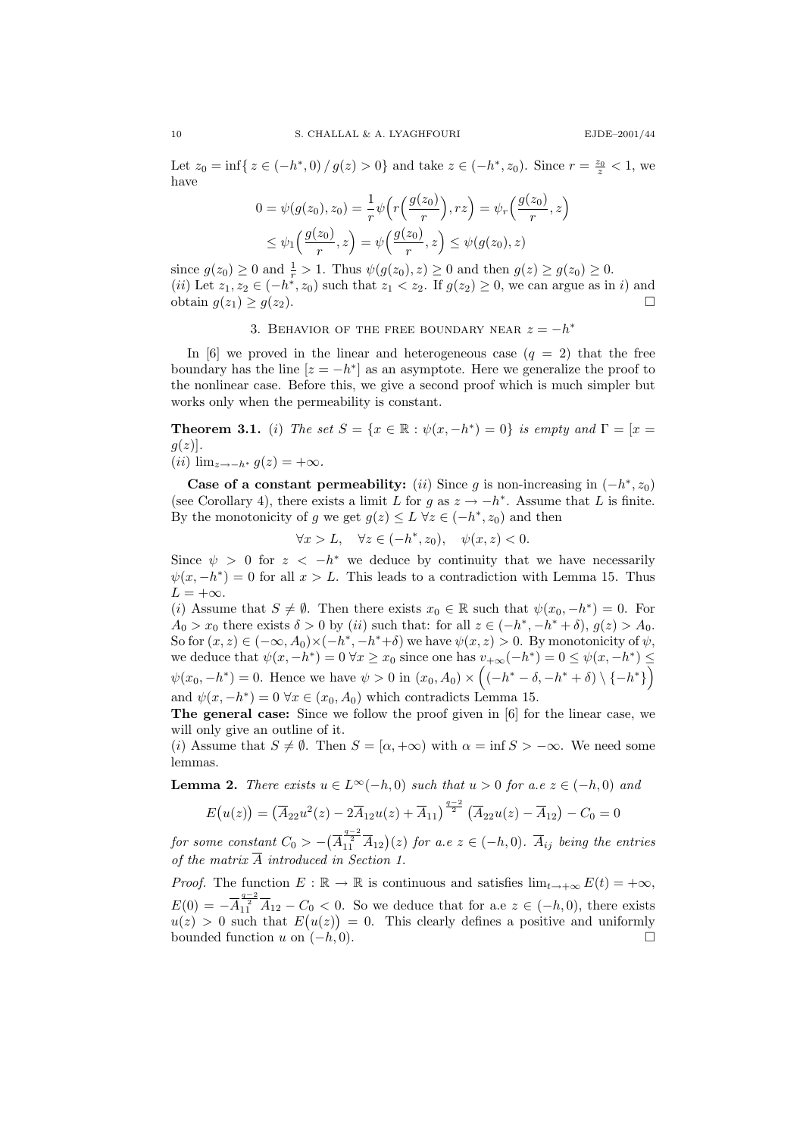Let  $z_0 = \inf\{z \in (-h^*, 0) / g(z) > 0\}$  and take  $z \in (-h^*, z_0)$ . Since  $r = \frac{z_0}{z} < 1$ , we have

$$
0 = \psi(g(z_0), z_0) = \frac{1}{r} \psi(r\left(\frac{g(z_0)}{r}\right), rz) = \psi_r\left(\frac{g(z_0)}{r}, z\right)
$$
  
 
$$
\leq \psi_1\left(\frac{g(z_0)}{r}, z\right) = \psi\left(\frac{g(z_0)}{r}, z\right) \leq \psi(g(z_0), z)
$$

since  $g(z_0) \ge 0$  and  $\frac{1}{r} > 1$ . Thus  $\psi(g(z_0), z) \ge 0$  and then  $g(z) \ge g(z_0) \ge 0$ . (*ii*) Let  $z_1, z_2 \in (-h^*, z_0)$  such that  $z_1 < z_2$ . If  $g(z_2) \geq 0$ , we can argue as in *i*) and obtain  $g(z_1) \ge g(z_2)$ .

# 3. BEHAVIOR OF THE FREE BOUNDARY NEAR  $z = -h^*$

In [6] we proved in the linear and heterogeneous case  $(q = 2)$  that the free boundary has the line  $[z = -h^*]$  as an asymptote. Here we generalize the proof to the nonlinear case. Before this, we give a second proof which is much simpler but works only when the permeability is constant.

**Theorem 3.1.** (i) The set  $S = \{x \in \mathbb{R} : \psi(x, -h^*) = 0\}$  is empty and  $\Gamma = [x =$  $g(z)$ .

$$
(ii) \lim_{z \to -h^*} g(z) = +\infty.
$$

Case of a constant permeability:  $(ii)$  Since g is non-increasing in  $(-h^*, z_0)$ (see Corollary 4), there exists a limit L for g as  $z \to -h^*$ . Assume that L is finite. By the monotonicity of g we get  $g(z) \leq L \,\forall z \in (-h^*, z_0)$  and then

 $\forall x > L, \quad \forall z \in (-h^*, z_0), \quad \psi(x, z) < 0.$ 

Since  $\psi > 0$  for  $z < -h^*$  we deduce by continuity that we have necessarily  $\psi(x, -h^*) = 0$  for all  $x > L$ . This leads to a contradiction with Lemma 15. Thus  $L = +\infty$ .

(i) Assume that  $S \neq \emptyset$ . Then there exists  $x_0 \in \mathbb{R}$  such that  $\psi(x_0, -h^*) = 0$ . For  $A_0 > x_0$  there exists  $\delta > 0$  by (ii) such that: for all  $z \in (-h^*, -h^* + \delta), g(z) > A_0$ . So for  $(x, z) \in (-\infty, A_0) \times (-h^*, -h^* + \delta)$  we have  $\psi(x, z) > 0$ . By monotonicity of  $\psi$ , we deduce that  $\psi(x, -h^*) = 0 \,\forall x \ge x_0$  since one has  $v_{+\infty}(-h^*) = 0 \le \psi(x, -h^*) \le$  $\psi(x_0, -h^*) = 0$ . Hence we have  $\psi > 0$  in  $(x_0, A_0) \times ((-h^* - \delta, -h^* + \delta) \setminus \{-h^*\})$ and  $\psi(x, -h^*) = 0 \,\forall x \in (x_0, A_0)$  which contradicts Lemma 15.

The general case: Since we follow the proof given in [6] for the linear case, we will only give an outline of it.

(i) Assume that  $S \neq \emptyset$ . Then  $S = [\alpha, +\infty)$  with  $\alpha = \inf S > -\infty$ . We need some lemmas.

**Lemma 2.** There exists  $u \in L^{\infty}(-h, 0)$  such that  $u > 0$  for a.e  $z \in (-h, 0)$  and

$$
E(u(z)) = (\overline{A}_{22}u^{2}(z) - 2\overline{A}_{12}u(z) + \overline{A}_{11})^{\frac{q-2}{2}} (\overline{A}_{22}u(z) - \overline{A}_{12}) - C_0 = 0
$$

 $\begin{array}{l} \textit{for some constant}\ C_0>-(\overline{A_{11}^{\frac{q-2}{2}}}\overline{A_{12}})(z) \textit{ for a.e } z\in (-h,0). \ \overline{A}_{ij} \textit{ being the entries} \end{array}$ of the matrix  $\overline{A}$  introduced in Section 1.

*Proof.* The function  $E : \mathbb{R} \to \mathbb{R}$  is continuous and satisfies  $\lim_{t \to +\infty} E(t) = +\infty$ ,  $E(0) = -\overline{A}_{11}^{\frac{q-2}{2}} \overline{A}_{12} - C_0 < 0$ . So we deduce that for a.e  $z \in (-h, 0)$ , there exists  $u(z) > 0$  such that  $E(u(z)) = 0$ . This clearly defines a positive and uniformly bounded function u on  $(-h, 0)$ .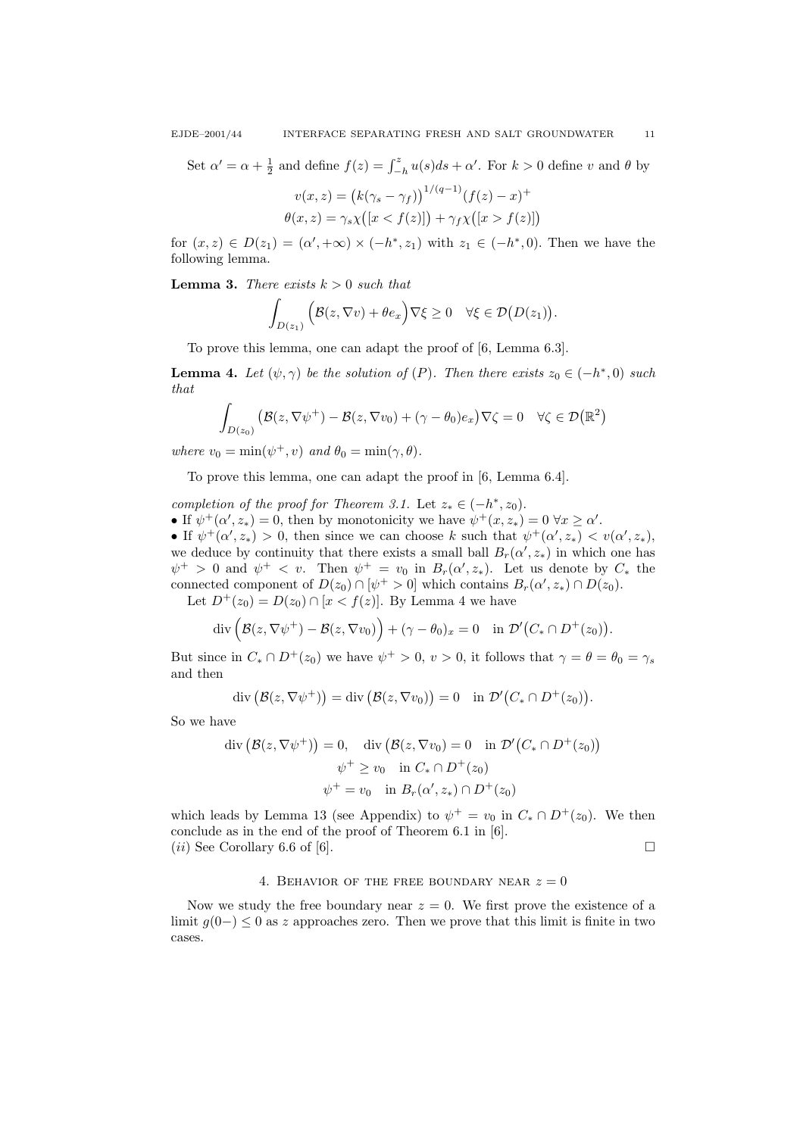Set  $\alpha' = \alpha + \frac{1}{2}$  and define  $f(z) = \int_{-h}^{z} u(s)ds + \alpha'$ . For  $k > 0$  define v and  $\theta$  by

$$
v(x, z) = (k(\gamma_s - \gamma_f))^{1/(q-1)}(f(z) - x)^{+}
$$

$$
\theta(x, z) = \gamma_s \chi([x < f(z)]) + \gamma_f \chi([x > f(z)])
$$

for  $(x, z) \in D(z_1) = (\alpha', +\infty) \times (-h^*, z_1)$  with  $z_1 \in (-h^*, 0)$ . Then we have the following lemma.

**Lemma 3.** There exists  $k > 0$  such that

$$
\int_{D(z_1)} (\mathcal{B}(z,\nabla v)+\theta e_x)\nabla \xi \geq 0 \quad \forall \xi \in \mathcal{D}(D(z_1)).
$$

To prove this lemma, one can adapt the proof of [6, Lemma 6.3].

**Lemma 4.** Let  $(\psi, \gamma)$  be the solution of  $(P)$ . Then there exists  $z_0 \in (-h^*, 0)$  such that

$$
\int_{D(z_0)} (\mathcal{B}(z, \nabla \psi^+) - \mathcal{B}(z, \nabla v_0) + (\gamma - \theta_0) e_x) \nabla \zeta = 0 \quad \forall \zeta \in \mathcal{D}(\mathbb{R}^2)
$$

where  $v_0 = \min(\psi^+, v)$  and  $\theta_0 = \min(\gamma, \theta)$ .

To prove this lemma, one can adapt the proof in [6, Lemma 6.4].

completion of the proof for Theorem 3.1. Let  $z_* \in (-h^*, z_0)$ . • If  $\psi^+(\alpha', z_*) = 0$ , then by monotonicity we have  $\psi^+(x, z_*) = 0 \,\forall x \ge \alpha'.$ • If  $\psi^+(\alpha',z_*)$  > 0, then since we can choose k such that  $\psi^+(\alpha',z_*) < v(\alpha',z_*),$ we deduce by continuity that there exists a small ball  $B_r(\alpha', z_*)$  in which one has  $\psi^+ > 0$  and  $\psi^+ < v$ . Then  $\psi^+ = v_0$  in  $B_r(\alpha', z_*)$ . Let us denote by  $C_*$  the connected component of  $D(z_0) \cap [\psi^+ > 0]$  which contains  $B_r(\alpha', z_*) \cap D(z_0)$ .

Let  $D^+(z_0) = D(z_0) \cap [x < f(z)]$ . By Lemma 4 we have

$$
\operatorname{div}\left(\mathcal{B}(z,\nabla\psi^+) - \mathcal{B}(z,\nabla v_0)\right) + (\gamma - \theta_0)_x = 0 \quad \text{in } \mathcal{D}'\big(C_* \cap D^+(z_0)\big).
$$

But since in  $C_* \cap D^+(z_0)$  we have  $\psi^+ > 0$ ,  $v > 0$ , it follows that  $\gamma = \theta = \theta_0 = \gamma_s$ and then

$$
\operatorname{div} (\mathcal{B}(z, \nabla \psi^+)) = \operatorname{div} (\mathcal{B}(z, \nabla v_0)) = 0 \quad \text{in } \mathcal{D}'(C_* \cap D^+(z_0)).
$$

So we have

$$
\operatorname{div} (\mathcal{B}(z, \nabla \psi^+)) = 0, \quad \operatorname{div} (\mathcal{B}(z, \nabla v_0) = 0 \quad \text{in } \mathcal{D}'(C_* \cap D^+(z_0))
$$

$$
\psi^+ \ge v_0 \quad \text{in } C_* \cap D^+(z_0)
$$

$$
\psi^+ = v_0 \quad \text{in } B_r(\alpha', z_*) \cap D^+(z_0)
$$

which leads by Lemma 13 (see Appendix) to  $\psi^+ = v_0$  in  $C_* \cap D^+(z_0)$ . We then conclude as in the end of the proof of Theorem 6.1 in [6].  $(ii)$  See Corollary 6.6 of [6].

4. BEHAVIOR OF THE FREE BOUNDARY NEAR  $z = 0$ 

Now we study the free boundary near  $z = 0$ . We first prove the existence of a limit  $g(0-) \leq 0$  as z approaches zero. Then we prove that this limit is finite in two cases.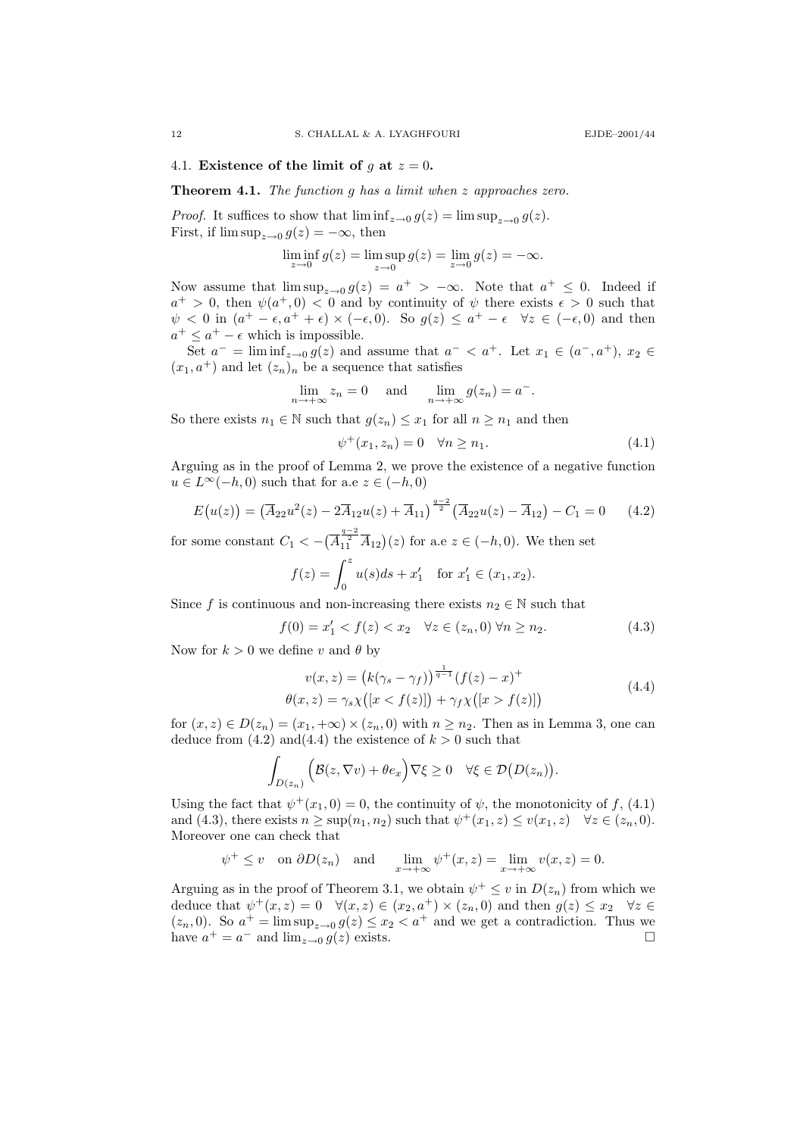### 4.1. Existence of the limit of g at  $z = 0$ .

Theorem 4.1. The function g has a limit when z approaches zero.

*Proof.* It suffices to show that  $\liminf_{z\to 0} g(z) = \limsup_{z\to 0} g(z)$ . First, if  $\limsup_{z\to 0} g(z) = -\infty$ , then

$$
\liminf_{z \to 0} g(z) = \limsup_{z \to 0} g(z) = \lim_{z \to 0} g(z) = -\infty.
$$

Now assume that  $\limsup_{z\to 0} g(z) = a^+ > -\infty$ . Note that  $a^+ \leq 0$ . Indeed if  $a^+ > 0$ , then  $\psi(a^+, 0) < 0$  and by continuity of  $\psi$  there exists  $\epsilon > 0$  such that  $\psi < 0$  in  $(a^+ - \epsilon, a^+ + \epsilon) \times (-\epsilon, 0)$ . So  $g(z) \le a^+ - \epsilon \quad \forall z \in (-\epsilon, 0)$  and then  $a^+ \leq a^+ - \epsilon$  which is impossible.

Set  $a^- = \liminf_{z \to 0} g(z)$  and assume that  $a^- < a^+$ . Let  $x_1 \in (a^-, a^+), x_2 \in$  $(x_1, a^+)$  and let  $(z_n)_n$  be a sequence that satisfies

$$
\lim_{n \to +\infty} z_n = 0 \quad \text{and} \quad \lim_{n \to +\infty} g(z_n) = a^-.
$$

So there exists  $n_1 \in \mathbb{N}$  such that  $g(z_n) \leq x_1$  for all  $n \geq n_1$  and then

$$
\psi^+(x_1, z_n) = 0 \quad \forall n \ge n_1. \tag{4.1}
$$

Arguing as in the proof of Lemma 2, we prove the existence of a negative function  $u \in L^{\infty}(-h, 0)$  such that for a.e  $z \in (-h, 0)$ 

$$
E(u(z)) = (\overline{A}_{22}u^2(z) - 2\overline{A}_{12}u(z) + \overline{A}_{11})^{\frac{q-2}{2}} (\overline{A}_{22}u(z) - \overline{A}_{12}) - C_1 = 0 \quad (4.2)
$$

for some constant  $C_1 < -(\overline{A}_{11}^{\frac{q-2}{2}} \overline{A}_{12})(z)$  for a.e  $z \in (-h, 0)$ . We then set

$$
f(z) = \int_0^z u(s)ds + x'_1 \text{ for } x'_1 \in (x_1, x_2).
$$

Since f is continuous and non-increasing there exists  $n_2 \in \mathbb{N}$  such that

$$
f(0) = x'_1 < f(z) < x_2 \quad \forall z \in (z_n, 0) \, \forall n \ge n_2. \tag{4.3}
$$

Now for  $k > 0$  we define v and  $\theta$  by

$$
v(x, z) = (k(\gamma_s - \gamma_f))^{\frac{1}{q-1}} (f(z) - x)^+ \n\theta(x, z) = \gamma_s \chi([x < f(z)]) + \gamma_f \chi([x > f(z)])
$$
\n(4.4)

for  $(x, z) \in D(z_n) = (x_1, +\infty) \times (z_n, 0)$  with  $n \geq n_2$ . Then as in Lemma 3, one can deduce from  $(4.2)$  and  $(4.4)$  the existence of  $k > 0$  such that

$$
\int_{D(z_n)} \left( \mathcal{B}(z, \nabla v) + \theta e_x \right) \nabla \xi \ge 0 \quad \forall \xi \in \mathcal{D}(D(z_n)).
$$

Using the fact that  $\psi^+(x_1, 0) = 0$ , the continuity of  $\psi$ , the monotonicity of f, (4.1) and (4.3), there exists  $n \geq \sup(n_1, n_2)$  such that  $\psi^+(x_1, z) \leq v(x_1, z) \quad \forall z \in (z_n, 0)$ . Moreover one can check that

$$
\psi^+ \leq v
$$
 on  $\partial D(z_n)$  and  $\lim_{x \to +\infty} \psi^+(x, z) = \lim_{x \to +\infty} v(x, z) = 0.$ 

Arguing as in the proof of Theorem 3.1, we obtain  $\psi^+ \leq v$  in  $D(z_n)$  from which we deduce that  $\psi^+(x, z) = 0 \quad \forall (x, z) \in (x_2, a^+) \times (z_n, 0)$  and then  $g(z) \leq x_2 \quad \forall z \in$  $(z_n, 0)$ . So  $a^+ = \limsup_{z \to 0} g(z) \leq x_2 < a^+$  and we get a contradiction. Thus we have  $a^+ = a^-$  and  $\lim_{z \to 0} g(z)$  exists.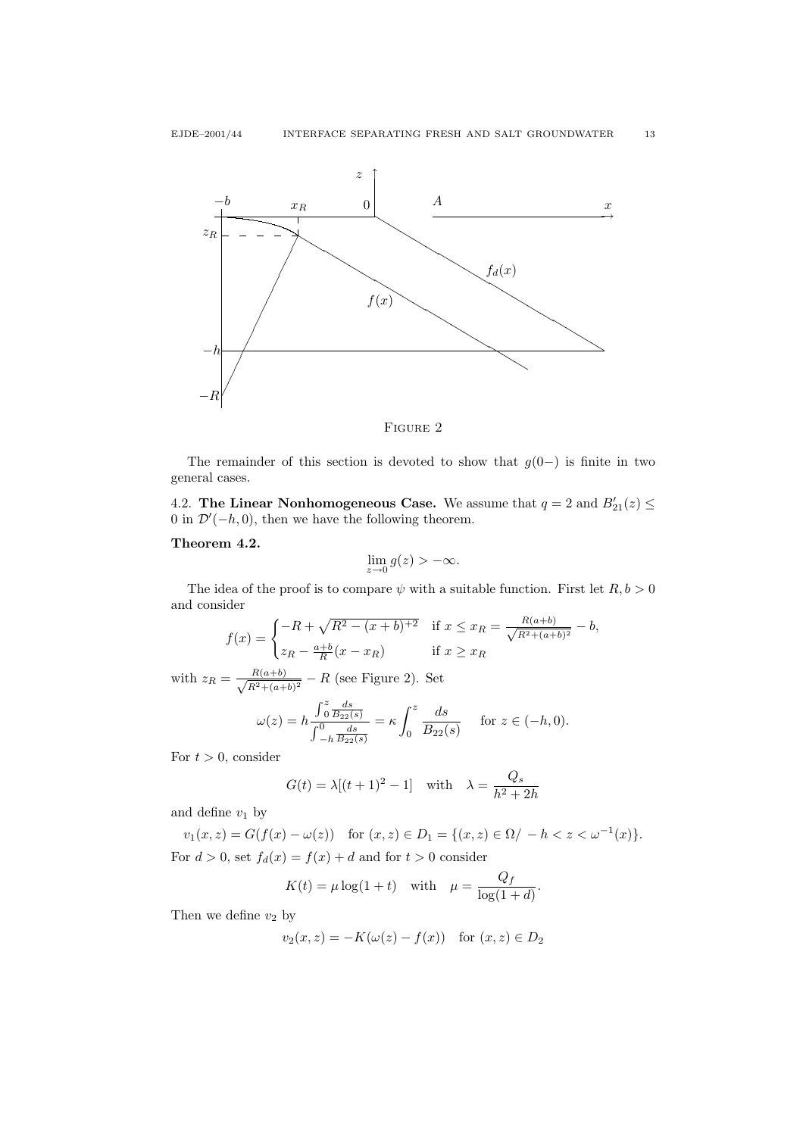

FIGURE 2

The remainder of this section is devoted to show that  $g(0-)$  is finite in two general cases.

4.2. The Linear Nonhomogeneous Case. We assume that  $q = 2$  and  $B'_{21}(z) \le$ 0 in  $\mathcal{D}'(-h, 0)$ , then we have the following theorem.

# Theorem 4.2.

$$
\lim_{z \to 0} g(z) > -\infty.
$$

The idea of the proof is to compare  $\psi$  with a suitable function. First let  $R, b > 0$ and consider

$$
f(x) = \begin{cases} -R + \sqrt{R^2 - (x+b)^{+2}} & \text{if } x \le x_R = \frac{R(a+b)}{\sqrt{R^2 + (a+b)^2}} - b, \\ z_R - \frac{a+b}{R}(x - x_R) & \text{if } x \ge x_R \end{cases}
$$

with  $z_R = \frac{R(a+b)}{\sqrt{R^2 + (b-b)}}$  $\frac{R(a+b)}{R^2+(a+b)^2}$  – R (see Figure 2). Set

$$
\omega(z) = h \frac{\int_0^z \frac{ds}{B_{22}(s)}}{\int_{-h}^0 \frac{ds}{B_{22}(s)}} = \kappa \int_0^z \frac{ds}{B_{22}(s)} \quad \text{for } z \in (-h, 0).
$$

For  $t > 0$ , consider

$$
G(t) = \lambda[(t+1)^2 - 1] \quad \text{with} \quad \lambda = \frac{Q_s}{h^2 + 2h}
$$

and define  $v_1$  by

$$
v_1(x, z) = G(f(x) - \omega(z)) \quad \text{for } (x, z) \in D_1 = \{(x, z) \in \Omega / -h < z < \omega^{-1}(x)\}.
$$
  
For  $d > 0$ , set  $f_d(x) = f(x) + d$  and for  $t > 0$  consider

$$
K(t) = \mu \log(1+t) \quad \text{with} \quad \mu = \frac{Q_f}{\log(1+d)}.
$$

Then we define  $v_2$  by

$$
v_2(x, z) = -K(\omega(z) - f(x)) \quad \text{for } (x, z) \in D_2
$$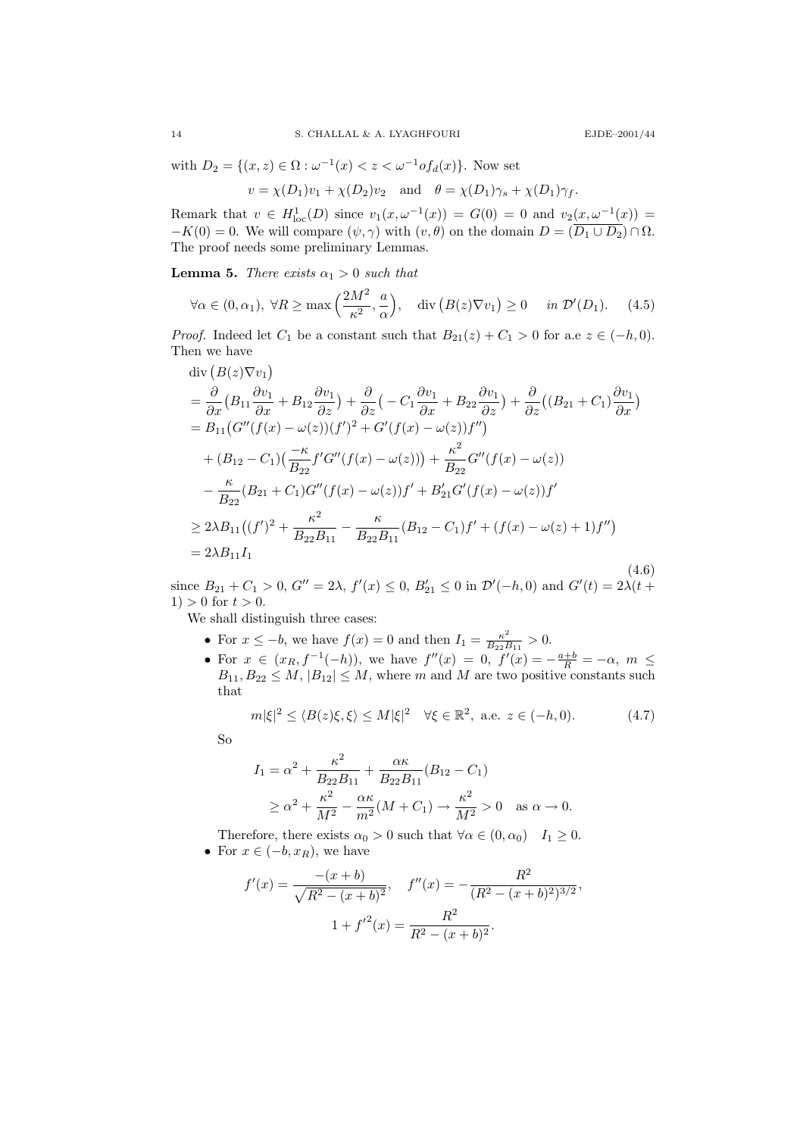with 
$$
D_2 = \{(x, z) \in \Omega : \omega^{-1}(x) < z < \omega^{-1} \circ f_d(x)\}
$$
. Now set\n
$$
v = \chi(D_1)v_1 + \chi(D_2)v_2 \quad \text{and} \quad \theta = \chi(D_1)\gamma_s + \chi(D_1)\gamma_f.
$$

Remark that  $v \in H^1_{loc}(D)$  since  $v_1(x, \omega^{-1}(x)) = G(0) = 0$  and  $v_2(x, \omega^{-1}(x)) =$  $-K(0) = 0$ . We will compare  $(\psi, \gamma)$  with  $(v, \theta)$  on the domain  $D = (\overline{D_1 \cup D_2}) \cap \Omega$ . The proof needs some preliminary Lemmas.

**Lemma 5.** There exists  $\alpha_1 > 0$  such that

$$
\forall \alpha \in (0, \alpha_1), \ \forall R \ge \max\left(\frac{2M^2}{\kappa^2}, \frac{a}{\alpha}\right), \quad \text{div}\left(B(z)\nabla v_1\right) \ge 0 \quad \text{in } \mathcal{D}'(D_1). \tag{4.5}
$$

*Proof.* Indeed let  $C_1$  be a constant such that  $B_{21}(z) + C_1 > 0$  for a.e  $z \in (-h, 0)$ . Then we have

$$
\begin{split}\n\text{div}\left(B(z)\nabla v_{1}\right) \\
&= \frac{\partial}{\partial x}\left(B_{11}\frac{\partial v_{1}}{\partial x} + B_{12}\frac{\partial v_{1}}{\partial z}\right) + \frac{\partial}{\partial z}\left(-C_{1}\frac{\partial v_{1}}{\partial x} + B_{22}\frac{\partial v_{1}}{\partial z}\right) + \frac{\partial}{\partial z}\left((B_{21} + C_{1})\frac{\partial v_{1}}{\partial x}\right) \\
&= B_{11}\left(G''(f(x) - \omega(z))(f')^{2} + G'(f(x) - \omega(z))f''\right) \\
&\quad + (B_{12} - C_{1})\left(\frac{-\kappa}{B_{22}}f'G''(f(x) - \omega(z))\right) + \frac{\kappa^{2}}{B_{22}}G''(f(x) - \omega(z)) \\
&\quad - \frac{\kappa}{B_{22}}(B_{21} + C_{1})G''(f(x) - \omega(z))f' + B'_{21}G'(f(x) - \omega(z))f' \\
&\geq 2\lambda B_{11}\left((f')^{2} + \frac{\kappa^{2}}{B_{22}B_{11}} - \frac{\kappa}{B_{22}B_{11}}(B_{12} - C_{1})f' + (f(x) - \omega(z) + 1)f''\right) \\
&= 2\lambda B_{11}I_{1}\n\end{split}
$$
\n(4.6)

since  $B_{21} + C_1 > 0$ ,  $G'' = 2\lambda$ ,  $f'(x) \le 0$ ,  $B'_{21} \le 0$  in  $\mathcal{D}'(-h, 0)$  and  $G'(t) = 2\lambda(t +$  $1) > 0$  for  $t > 0$ .

We shall distinguish three cases:

- For  $x \leq -b$ , we have  $f(x) = 0$  and then  $I_1 = \frac{\kappa^2}{B_2}$  $\frac{\kappa^2}{B_{22}B_{11}}>0.$
- For  $x \in (x_R, f^{-1}(-h))$ , we have  $f''(x) = 0$ ,  $f'(x) = -\frac{a+b}{R} = -\alpha$ ,  $m \le$  $B_{11}, B_{22} \leq M, |B_{12}| \leq M$ , where m and M are two positive constants such that

$$
m|\xi|^2 \le \langle B(z)\xi, \xi \rangle \le M|\xi|^2 \quad \forall \xi \in \mathbb{R}^2, \text{ a.e. } z \in (-h, 0). \tag{4.7}
$$

So

$$
I_1 = \alpha^2 + \frac{\kappa^2}{B_{22}B_{11}} + \frac{\alpha \kappa}{B_{22}B_{11}}(B_{12} - C_1)
$$
  
 
$$
\geq \alpha^2 + \frac{\kappa^2}{M^2} - \frac{\alpha \kappa}{m^2}(M + C_1) \to \frac{\kappa^2}{M^2} > 0 \text{ as } \alpha \to 0.
$$

Therefore, there exists  $\alpha_0 > 0$  such that  $\forall \alpha \in (0, \alpha_0)$   $I_1 \geq 0$ . • For  $x \in (-b, x_R)$ , we have

$$
f'(x) = \frac{-(x+b)}{\sqrt{R^2 - (x+b)^2}}, \quad f''(x) = -\frac{R^2}{(R^2 - (x+b)^2)^{3/2}},
$$

$$
1 + f'^2(x) = \frac{R^2}{R^2 - (x+b)^2}.
$$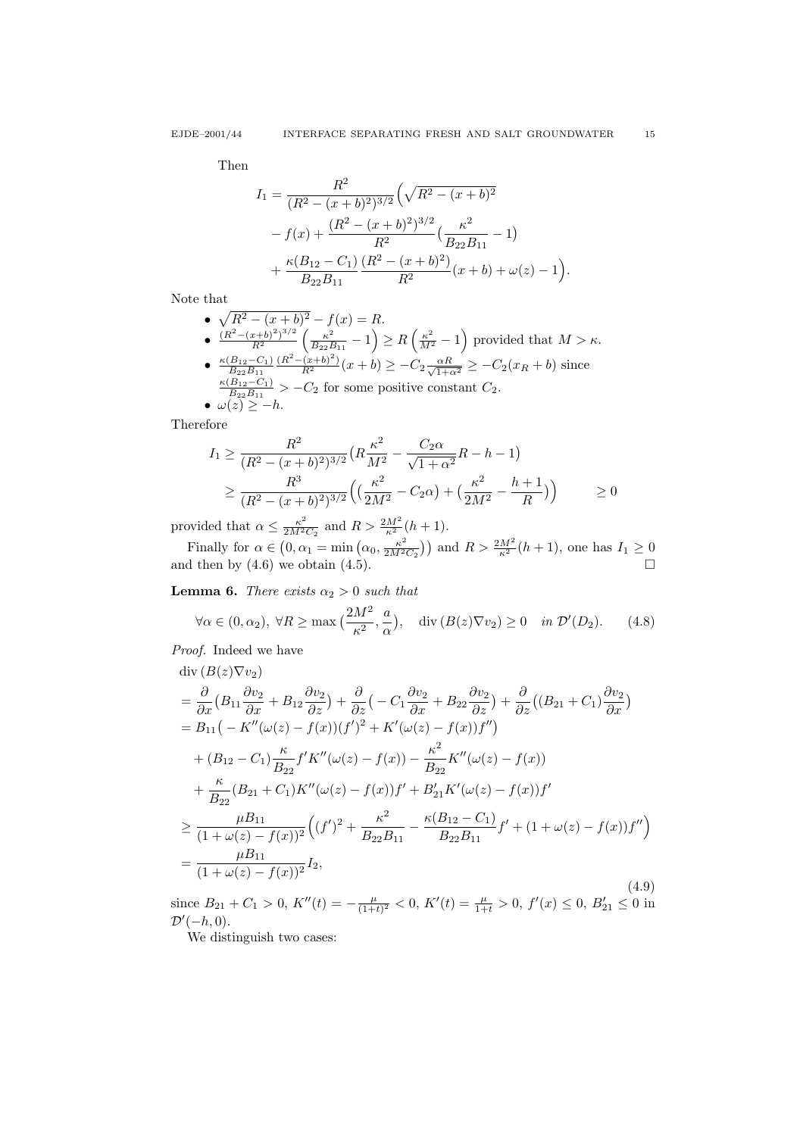Then

$$
I_1 = \frac{R^2}{(R^2 - (x + b)^2)^{3/2}} \left(\sqrt{R^2 - (x + b)^2} - f(x) + \frac{(R^2 - (x + b)^2)^{3/2}}{R^2} \left(\frac{\kappa^2}{B_{22}B_{11}} - 1\right) + \frac{\kappa(B_{12} - C_1)}{B_{22}B_{11}} \frac{(R^2 - (x + b)^2)}{R^2} (x + b) + \omega(z) - 1\right).
$$

Note that

\n- \n
$$
\sqrt{R^2 - (x + b)^2} - f(x) = R.
$$
\n
\n- \n
$$
\frac{(R^2 - (x + b)^2)^{3/2}}{R^2} \left( \frac{\kappa^2}{B_{22}B_{11}} - 1 \right) \geq R \left( \frac{\kappa^2}{M^2} - 1 \right)
$$
 provided that  $M > \kappa$ .\n
\n- \n
$$
\frac{\kappa(B_{12} - C_1)}{B_{22}B_{11}} \frac{(R^2 - (x + b)^2)}{R^2} (x + b) \geq -C_2 \frac{\alpha R}{\sqrt{1 + \alpha^2}} \geq -C_2 (x_R + b)
$$
 since  $\frac{\kappa(B_{12} - C_1)}{B_{22}B_{11}} > -C_2$  for some positive constant  $C_2$ .\n
\n- \n
$$
\omega(z) \geq -h.
$$
\n
\n

Therefore

$$
I_1 \ge \frac{R^2}{(R^2 - (x+b)^2)^{3/2}} \left( R \frac{\kappa^2}{M^2} - \frac{C_2 \alpha}{\sqrt{1+\alpha^2}} R - h - 1 \right)
$$
  
 
$$
\ge \frac{R^3}{(R^2 - (x+b)^2)^{3/2}} \left( \left( \frac{\kappa^2}{2M^2} - C_2 \alpha \right) + \left( \frac{\kappa^2}{2M^2} - \frac{h+1}{R} \right) \right) \ge 0
$$

provided that  $\alpha \leq \frac{\kappa^2}{2M^2}$  $\frac{\kappa^2}{2M^2C_2}$  and  $R > \frac{2M^2}{\kappa^2}(h+1)$ .

Finally for  $\alpha \in (0, \alpha_1 = \min(\alpha_0, \frac{\kappa^2}{2M^2}))$  $\frac{\kappa^2}{2M^2C_2}$ ) and  $R > \frac{2M^2}{\kappa^2}(h+1)$ , one has  $I_1 \ge 0$ and then by  $(4.6)$  we obtain  $(4.5)$ .

**Lemma 6.** There exists  $\alpha_2 > 0$  such that

$$
\forall \alpha \in (0, \alpha_2), \ \forall R \ge \max\left(\frac{2M^2}{\kappa^2}, \frac{a}{\alpha}\right), \quad \text{div}\left(B(z)\nabla v_2\right) \ge 0 \quad \text{in } \mathcal{D}'(D_2). \tag{4.8}
$$

Proof. Indeed we have

$$
\begin{split}\n\text{div}\,(B(z)\nabla v_{2})\\
&= \frac{\partial}{\partial x}\big(B_{11}\frac{\partial v_{2}}{\partial x} + B_{12}\frac{\partial v_{2}}{\partial z}\big) + \frac{\partial}{\partial z}\big(-C_{1}\frac{\partial v_{2}}{\partial x} + B_{22}\frac{\partial v_{2}}{\partial z}\big) + \frac{\partial}{\partial z}\big((B_{21} + C_{1})\frac{\partial v_{2}}{\partial x}\big)\\
&= B_{11}\big(-K''(\omega(z) - f(x))(f')^{2} + K'(\omega(z) - f(x))f''\big)\\
&+ (B_{12} - C_{1})\frac{\kappa}{B_{22}}f'K''(\omega(z) - f(x)) - \frac{\kappa^{2}}{B_{22}}K''(\omega(z) - f(x))\\
&+ \frac{\kappa}{B_{22}}(B_{21} + C_{1})K''(\omega(z) - f(x))f' + B'_{21}K'(\omega(z) - f(x))f'\\
&\geq \frac{\mu B_{11}}{(1 + \omega(z) - f(x))^{2}}\big((f')^{2} + \frac{\kappa^{2}}{B_{22}B_{11}} - \frac{\kappa(B_{12} - C_{1})}{B_{22}B_{11}}f' + (1 + \omega(z) - f(x))f''\big)\\
&= \frac{\mu B_{11}}{(1 + \omega(z) - f(x))^{2}}I_{2},\n\end{split}
$$
\n(4.9)

since  $B_{21} + C_1 > 0$ ,  $K''(t) = -\frac{\mu}{(1+t)^2} < 0$ ,  $K'(t) = \frac{\mu}{1+t} > 0$ ,  $f'(x) \le 0$ ,  $B'_{21} \le 0$  in  $\mathcal{D}'(-h,0)$ .

We distinguish two cases: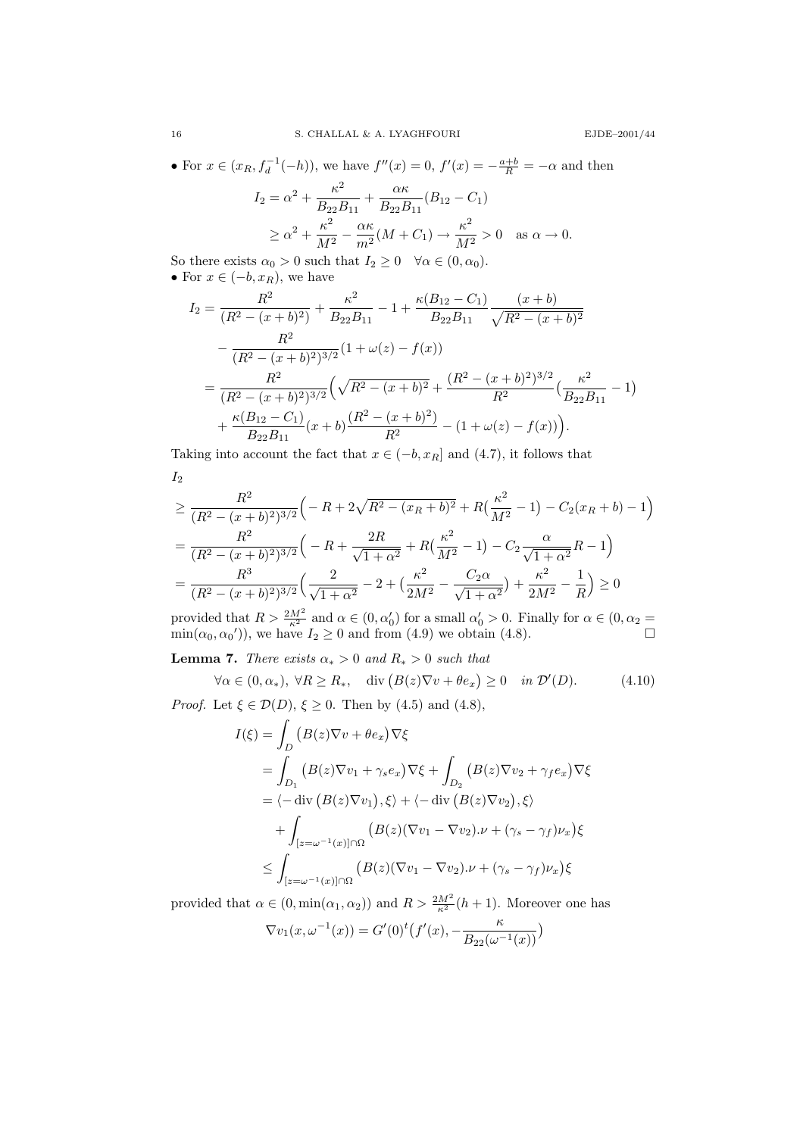• For  $x \in (x_R, f_d^{-1}(-h))$ , we have  $f''(x) = 0$ ,  $f'(x) = -\frac{a+b}{R} = -\alpha$  and then  $I_2 = \alpha^2 + \frac{\kappa^2}{P - I}$  $\frac{\kappa^2}{B_{22}B_{11}} + \frac{\alpha\kappa}{B_{22}E}$  $\frac{a_n}{B_{22}B_{11}}(B_{12}-C_1)$  $\geq \alpha^2 + \frac{\kappa^2}{M}$  $\frac{\kappa^2}{M^2} - \frac{\alpha \kappa}{m^2}$  $\frac{\alpha \kappa}{m^2} (M + C_1) \rightarrow \frac{\kappa^2}{M^2}$  $\frac{\kappa}{M^2} > 0$  as  $\alpha \to 0$ .

So there exists  $\alpha_0 > 0$  such that  $I_2 \geq 0 \quad \forall \alpha \in (0, \alpha_0)$ . • For  $x \in (-b, x_R)$ , we have

$$
I_2 = \frac{R^2}{(R^2 - (x + b)^2)} + \frac{\kappa^2}{B_{22}B_{11}} - 1 + \frac{\kappa(B_{12} - C_1)}{B_{22}B_{11}} \frac{(x + b)}{\sqrt{R^2 - (x + b)^2}} - \frac{R^2}{(R^2 - (x + b)^2)^{3/2}} (1 + \omega(z) - f(x)) = \frac{R^2}{(R^2 - (x + b)^2)^{3/2}} \left(\sqrt{R^2 - (x + b)^2} + \frac{(R^2 - (x + b)^2)^{3/2}}{R^2} \left(\frac{\kappa^2}{B_{22}B_{11}} - 1\right) + \frac{\kappa(B_{12} - C_1)}{B_{22}B_{11}} (x + b) \frac{(R^2 - (x + b)^2)}{R^2} - (1 + \omega(z) - f(x))\right).
$$

Taking into account the fact that  $x \in (-b, x_R]$  and  $(4.7)$ , it follows that  $I_2$ 

$$
\geq \frac{R^2}{(R^2 - (x+b)^2)^{3/2}} \left( -R + 2\sqrt{R^2 - (x_R + b)^2} + R\left(\frac{\kappa^2}{M^2} - 1\right) - C_2(x_R + b) - 1 \right)
$$
  
= 
$$
\frac{R^2}{(R^2 - (x+b)^2)^{3/2}} \left( -R + \frac{2R}{\sqrt{1+\alpha^2}} + R\left(\frac{\kappa^2}{M^2} - 1\right) - C_2 \frac{\alpha}{\sqrt{1+\alpha^2}} R - 1 \right)
$$
  
= 
$$
\frac{R^3}{(R^2 - (x+b)^2)^{3/2}} \left( \frac{2}{\sqrt{1+\alpha^2}} - 2 + \left(\frac{\kappa^2}{2M^2} - \frac{C_2\alpha}{\sqrt{1+\alpha^2}}\right) + \frac{\kappa^2}{2M^2} - \frac{1}{R} \right) \geq 0
$$

provided that  $R > \frac{2M^2}{\kappa^2}$  and  $\alpha \in (0, \alpha'_0)$  for a small  $\alpha'_0 > 0$ . Finally for  $\alpha \in (0, \alpha_2 =$  $\min(\alpha_0, \alpha_0')$ , we have  $I_2 \ge 0$  and from (4.9) we obtain (4.8).

**Lemma 7.** There exists  $\alpha_* > 0$  and  $R_* > 0$  such that

$$
\forall \alpha \in (0, \alpha_*) \text{, } \forall R \ge R_*, \quad \text{div}\left(B(z)\nabla v + \theta e_x\right) \ge 0 \quad \text{in } \mathcal{D}'(D). \tag{4.10}
$$

*Proof.* Let  $\xi \in \mathcal{D}(D), \xi \geq 0$ . Then by (4.5) and (4.8),

$$
I(\xi) = \int_{D} (B(z)\nabla v + \theta e_x) \nabla \xi
$$
  
\n
$$
= \int_{D_1} (B(z)\nabla v_1 + \gamma_s e_x) \nabla \xi + \int_{D_2} (B(z)\nabla v_2 + \gamma_f e_x) \nabla \xi
$$
  
\n
$$
= \langle -\operatorname{div} (B(z)\nabla v_1), \xi \rangle + \langle -\operatorname{div} (B(z)\nabla v_2), \xi \rangle
$$
  
\n
$$
+ \int_{[z=\omega^{-1}(x)] \cap \Omega} (B(z)(\nabla v_1 - \nabla v_2) . \nu + (\gamma_s - \gamma_f) \nu_x) \xi
$$
  
\n
$$
\leq \int_{[z=\omega^{-1}(x)] \cap \Omega} (B(z)(\nabla v_1 - \nabla v_2) . \nu + (\gamma_s - \gamma_f) \nu_x) \xi
$$

provided that  $\alpha \in (0, \min(\alpha_1, \alpha_2))$  and  $R > \frac{2M^2}{\kappa^2} (h+1)$ . Moreover one has

$$
\nabla v_1(x, \omega^{-1}(x)) = G'(0)^t \left( f'(x), -\frac{\kappa}{B_{22}(\omega^{-1}(x))} \right)
$$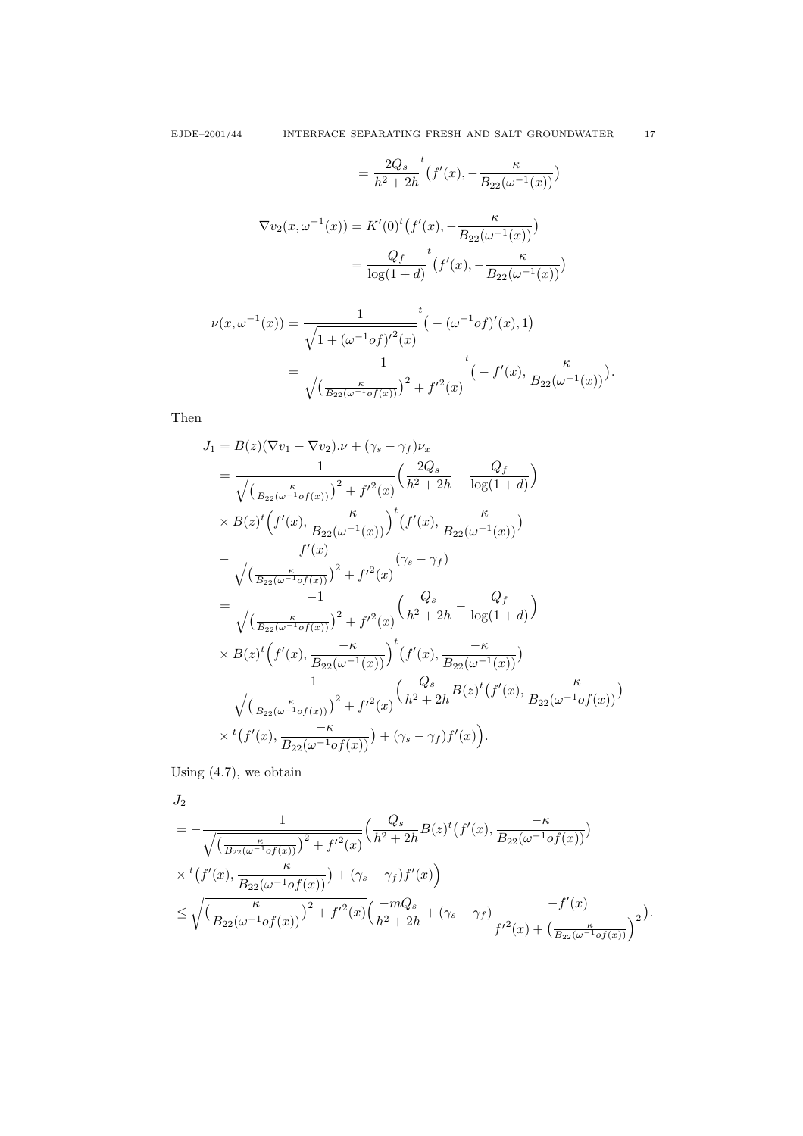$$
= \frac{2Q_s}{h^2 + 2h}^t \left(f'(x), -\frac{\kappa}{B_{22}(\omega^{-1}(x))}\right)
$$

$$
\nabla v_2(x, \omega^{-1}(x)) = K'(0)^t \left(f'(x), -\frac{\kappa}{B_{22}(\omega^{-1}(x))}\right)
$$

$$
= \frac{Q_f}{\log(1 + d)}^t \left(f'(x), -\frac{\kappa}{B_{22}(\omega^{-1}(x))}\right)
$$

$$
\nu(x, \omega^{-1}(x)) = \frac{1}{\sqrt{1 + (\omega^{-1} of)^{t^2}(x)}} t - (\omega^{-1} of)^{t^2}(x), 1)
$$
  
= 
$$
\frac{1}{\sqrt{\left(\frac{\kappa}{B_{22}(\omega^{-1} of(x))}\right)^2 + f^{t^2}(x)}} t - f'(x), \frac{\kappa}{B_{22}(\omega^{-1}(x))}.
$$

Then

$$
J_{1} = B(z)(\nabla v_{1} - \nabla v_{2}).\nu + (\gamma_{s} - \gamma_{f})\nu_{x}
$$
\n
$$
= \frac{-1}{\sqrt{\left(\frac{\kappa}{B_{22}(\omega - 1)}\sigma f(x)\right)^{2} + f^{\prime 2}(x)}}\left(\frac{2Q_{s}}{h^{2} + 2h} - \frac{Q_{f}}{\log(1 + d)}\right)
$$
\n
$$
\times B(z)^{t}\left(f'(x), \frac{-\kappa}{B_{22}(\omega - 1)}\right)^{t}\left(f'(x), \frac{-\kappa}{B_{22}(\omega - 1)}\right)
$$
\n
$$
- \frac{f'(x)}{\sqrt{\left(\frac{\kappa}{B_{22}(\omega - 1)}\sigma f(x)\right)^{2} + f^{\prime 2}(x)}}\left(\gamma_{s} - \gamma_{f}\right)
$$
\n
$$
= \frac{-1}{\sqrt{\left(\frac{\kappa}{B_{22}(\omega - 1)}\sigma f(x)\right)^{2} + f^{\prime 2}(x)}}\left(\frac{Q_{s}}{h^{2} + 2h} - \frac{Q_{f}}{\log(1 + d)}\right)
$$
\n
$$
\times B(z)^{t}\left(f'(x), \frac{-\kappa}{B_{22}(\omega - 1)}\right)^{t}\left(f'(x), \frac{-\kappa}{B_{22}(\omega - 1)}\right)
$$
\n
$$
- \frac{1}{\sqrt{\left(\frac{\kappa}{B_{22}(\omega - 1)}\sigma f(x)\right)^{2} + f^{\prime 2}(x)}}\left(\frac{Q_{s}}{h^{2} + 2h}B(z)^{t}\left(f'(x), \frac{-\kappa}{B_{22}(\omega - 1)}\sigma f(x)\right)\right)
$$
\n
$$
\times t\left(f'(x), \frac{-\kappa}{B_{22}(\omega - 1)}\sigma f(x)\right) + (\gamma_{s} - \gamma_{f})f'(x)\right).
$$

Using (4.7), we obtain

$$
J_2 = -\frac{1}{\sqrt{\left(\frac{\kappa}{B_{22}(\omega^{-1} \circ f(x))}\right)^2 + f'^2(x)}} \left(\frac{Q_s}{h^2 + 2h} B(z)^t \left(f'(x), \frac{-\kappa}{B_{22}(\omega^{-1} \circ f(x))}\right) \times {}^t \left(f'(x), \frac{-\kappa}{B_{22}(\omega^{-1} \circ f(x))}\right) + (\gamma_s - \gamma_f) f'(x)\right) \le \sqrt{\left(\frac{\kappa}{B_{22}(\omega^{-1} \circ f(x))}\right)^2 + f'^2(x) \left(\frac{-mQ_s}{h^2 + 2h} + (\gamma_s - \gamma_f) \frac{-f'(x)}{f'^2(x) + \left(\frac{\kappa}{B_{22}(\omega^{-1} \circ f(x))}\right)^2}\right)}.
$$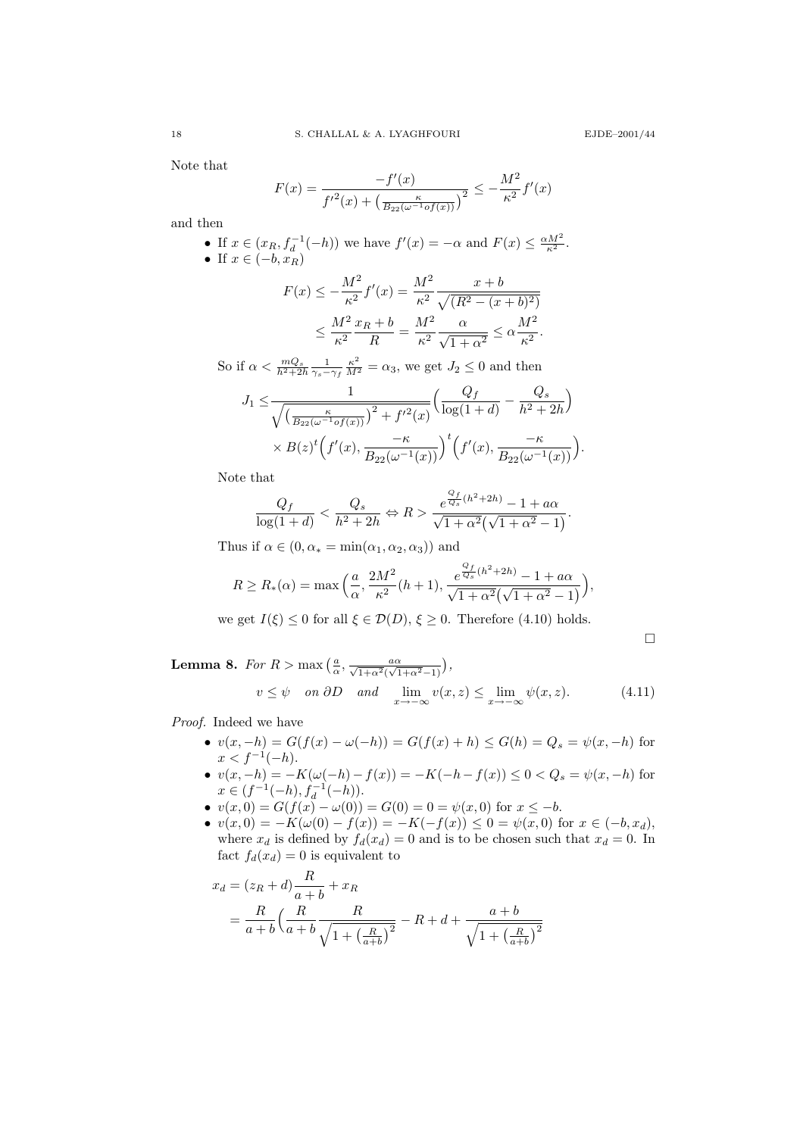Note that

$$
F(x) = \frac{-f'(x)}{f'^2(x) + \left(\frac{\kappa}{B_{22}(\omega^{-1}\sigma f(x))}\right)^2} \le -\frac{M^2}{\kappa^2}f'(x)
$$

and then

\n- If 
$$
x \in (x_R, f_d^{-1}(-h))
$$
 we have  $f'(x) = -\alpha$  and  $F(x) \leq \frac{\alpha M^2}{\kappa^2}$ .
\n- If  $x \in (-b, x_R)$
\n- If  $x \in (-b, x_R)$
\n

$$
F(x) \le -\frac{M^2}{\kappa^2} f'(x) = \frac{M^2}{\kappa^2} \frac{x+b}{\sqrt{(R^2 - (x+b)^2)}}
$$
  

$$
\le \frac{M^2}{\kappa^2} \frac{x_R + b}{R} = \frac{M^2}{\kappa^2} \frac{\alpha}{\sqrt{1 + \alpha^2}} \le \alpha \frac{M^2}{\kappa^2}.
$$

So if  $\alpha < \frac{mQ_s}{h^2 + 2h} \frac{1}{\gamma_s - \gamma_f} \frac{\kappa^2}{M^2} = \alpha_3$ , we get  $J_2 \le 0$  and then

$$
J_1 \leq \frac{1}{\sqrt{\left(\frac{\kappa}{B_{22}(\omega^{-1} \circ f(x))}\right)^2 + f'^2(x)}} \left(\frac{Q_f}{\log(1+d)} - \frac{Q_s}{h^2 + 2h}\right)
$$
  
 
$$
\times B(z)^t \left(f'(x), \frac{-\kappa}{B_{22}(\omega^{-1}(x))}\right)^t \left(f'(x), \frac{-\kappa}{B_{22}(\omega^{-1}(x))}\right).
$$

Note that

$$
\frac{Q_f}{\log(1+d)} < \frac{Q_s}{h^2+2h} \Leftrightarrow R > \frac{e^{\frac{Q_f}{Q_s}(h^2+2h)}-1+a\alpha}{\sqrt{1+\alpha^2}(\sqrt{1+\alpha^2}-1)}.
$$

Thus if  $\alpha \in (0, \alpha_* = \min(\alpha_1, \alpha_2, \alpha_3))$  and

$$
R \ge R_*(\alpha) = \max\left(\frac{a}{\alpha}, \frac{2M^2}{\kappa^2}(h+1), \frac{e^{\frac{Q_f}{Q_s}(h^2 + 2h)} - 1 + a\alpha}{\sqrt{1 + \alpha^2}(\sqrt{1 + \alpha^2} - 1)}\right),
$$

we get  $I(\xi) \leq 0$  for all  $\xi \in \mathcal{D}(D)$ ,  $\xi \geq 0$ . Therefore (4.10) holds.

 $\Box$ 

**Lemma 8.** For 
$$
R > \max\left(\frac{a}{\alpha}, \frac{a\alpha}{\sqrt{1+\alpha^2}(\sqrt{1+\alpha^2}-1)}\right)
$$
,  
\n $v \le \psi \quad on \ \partial D \quad and \quad \lim_{x \to -\infty} v(x, z) \le \lim_{x \to -\infty} \psi(x, z).$  (4.11)

Proof. Indeed we have

- $v(x, -h) = G(f(x) \omega(-h)) = G(f(x) + h) \le G(h) = Q_s = \psi(x, -h)$  for  $x < f^{-1}(-h)$ .
- $v(x, -h) = -K(\omega(-h) f(x)) = -K(-h f(x)) \le 0 < Q_s = \psi(x, -h)$  for  $x \in (f^{-1}(-h), f_d^{-1}(-h)).$
- $v(x, 0) = G(f(x) \omega(0)) = G(0) = 0 = \psi(x, 0)$  for  $x \le -b$ .
- $v(x, 0) = -K(\omega(0) f(x)) = -K(-f(x)) \leq 0 = \psi(x, 0)$  for  $x \in (-b, x_d)$ , where  $x_d$  is defined by  $f_d(x_d) = 0$  and is to be chosen such that  $x_d = 0$ . In fact  $f_d(x_d) = 0$  is equivalent to

$$
x_d = (z_R + d)\frac{R}{a+b} + x_R
$$
  
=  $\frac{R}{a+b} \left(\frac{R}{a+b} \frac{R}{\sqrt{1 + \left(\frac{R}{a+b}\right)^2}} - R + d + \frac{a+b}{\sqrt{1 + \left(\frac{R}{a+b}\right)^2}}$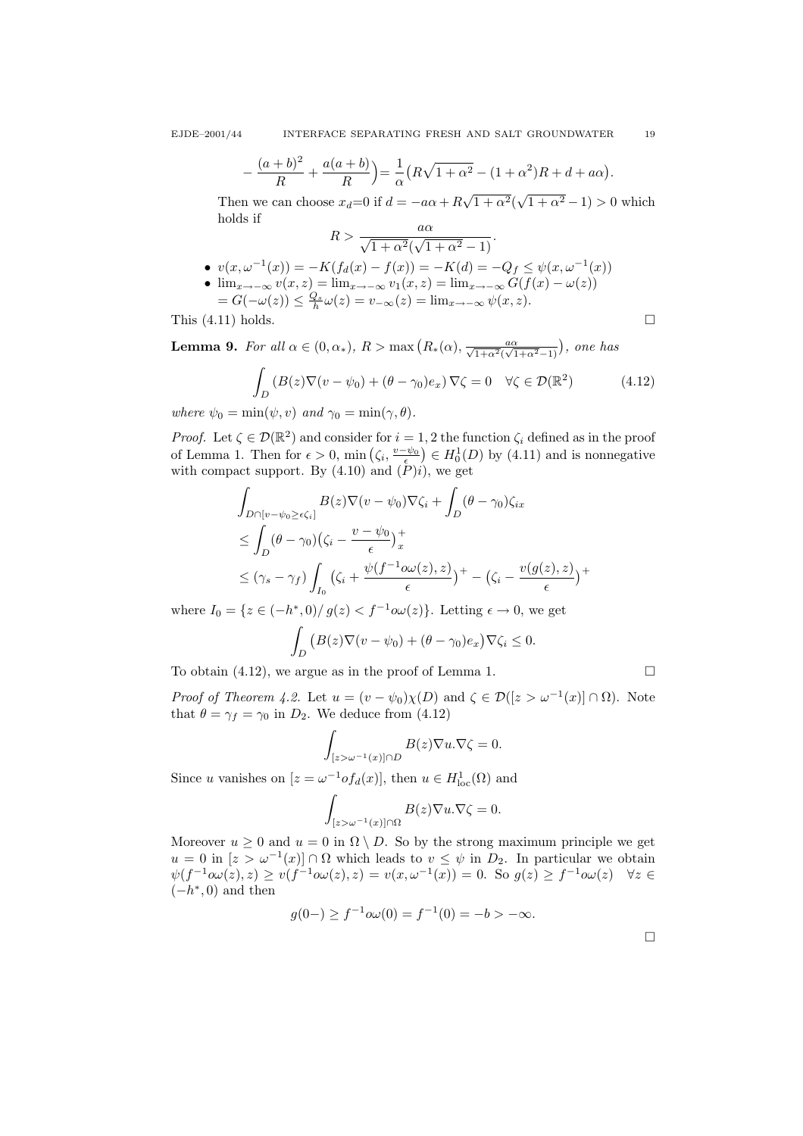$$
-\frac{(a+b)^2}{R}+\frac{a(a+b)}{R}\bigg)=\frac{1}{\alpha}\left(R\sqrt{1+\alpha^2}-(1+\alpha^2)R+d+a\alpha\right).
$$

Then we can choose  $x_d=0$  if  $d = -a\alpha + R$  $\sqrt{1+\alpha^2}(\sqrt{1+\alpha^2}-1) > 0$  which holds if

$$
R > \frac{a\alpha}{\sqrt{1 + \alpha^2}(\sqrt{1 + \alpha^2} - 1)}.
$$
  
\n•  $v(x, \omega^{-1}(x)) = -K(f_d(x) - f(x)) = -K(d) = -Q_f \le \psi(x, \omega^{-1}(x))$   
\n•  $\lim_{x \to -\infty} v(x, z) = \lim_{x \to -\infty} v_1(x, z) = \lim_{x \to -\infty} G(f(x) - \omega(z))$   
\n $= G(-\omega(z)) \le \frac{Q_s}{h} \omega(z) = v_{-\infty}(z) = \lim_{x \to -\infty} \psi(x, z).$ 

This  $(4.11)$  holds.

**Lemma 9.** For all  $\alpha \in (0, \alpha_*)$ ,  $R > \max\left(R_*(\alpha), \frac{a\alpha}{\sqrt{1+\alpha^2}(\sqrt{1+\alpha^2}-1)}\right)$ , one has

$$
\int_{D} \left( B(z) \nabla (v - \psi_0) + (\theta - \gamma_0) e_x \right) \nabla \zeta = 0 \quad \forall \zeta \in \mathcal{D}(\mathbb{R}^2)
$$
\n(4.12)

where  $\psi_0 = \min(\psi, v)$  and  $\gamma_0 = \min(\gamma, \theta)$ .

*Proof.* Let  $\zeta \in \mathcal{D}(\mathbb{R}^2)$  and consider for  $i = 1, 2$  the function  $\zeta_i$  defined as in the proof of Lemma 1. Then for  $\epsilon > 0$ , min  $(\zeta_i, \frac{v-\psi_0}{\epsilon}) \in H_0^1(D)$  by (4.11) and is nonnegative with compact support. By (4.10) and  $(\check{P})i$ , we get

$$
\int_{D \cap [v - \psi_0 \ge \epsilon \zeta_i]} B(z) \nabla (v - \psi_0) \nabla \zeta_i + \int_D (\theta - \gamma_0) \zeta_{ix}
$$
\n
$$
\le \int_D (\theta - \gamma_0) (\zeta_i - \frac{v - \psi_0}{\epsilon})_x^+
$$
\n
$$
\le (\gamma_s - \gamma_f) \int_{I_0} (\zeta_i + \frac{\psi(f^{-1} \omega(x), z)}{\epsilon})^+ - (\zeta_i - \frac{v(g(z), z)}{\epsilon})^+
$$

where  $I_0 = \{z \in (-h^*,0)/g(z) < f^{-1}\omega(z)\}\.$  Letting  $\epsilon \to 0$ , we get Z D  $(B(z)\nabla(v-\psi_0)+(\theta-\gamma_0)e_x)\nabla\zeta_i\leq 0.$ 

To obtain (4.12), we argue as in the proof of Lemma 1.  $\Box$ 

*Proof of Theorem 4.2.* Let  $u = (v - \psi_0)\chi(D)$  and  $\zeta \in \mathcal{D}([z > \omega^{-1}(x)] \cap \Omega)$ . Note that  $\theta = \gamma_f = \gamma_0$  in  $D_2$ . We deduce from (4.12)

$$
\int_{[z>\omega^{-1}(x)]\cap D} B(z)\nabla u.\nabla \zeta = 0.
$$

Since u vanishes on  $[z = \omega^{-1} \text{of}_d(x)]$ , then  $u \in H^1_{loc}(\Omega)$  and

$$
\int_{[z>\omega^{-1}(x)]\cap\Omega}B(z)\nabla u.\nabla \zeta=0.
$$

Moreover  $u \geq 0$  and  $u = 0$  in  $\Omega \setminus D$ . So by the strong maximum principle we get  $u = 0$  in  $[z > \omega^{-1}(x)] \cap \Omega$  which leads to  $v \leq \psi$  in  $D_2$ . In particular we obtain  $\psi(f^{-1}\omega(x),z) \ge v(f^{-1}\omega(z),z) = v(x,\omega^{-1}(x)) = 0.$  So  $g(z) \ge f^{-1}\omega(z)$   $\forall z \in$  $(-h^*,0)$  and then

$$
g(0-) \ge f^{-1}o\omega(0) = f^{-1}(0) = -b > -\infty.
$$

 $\Box$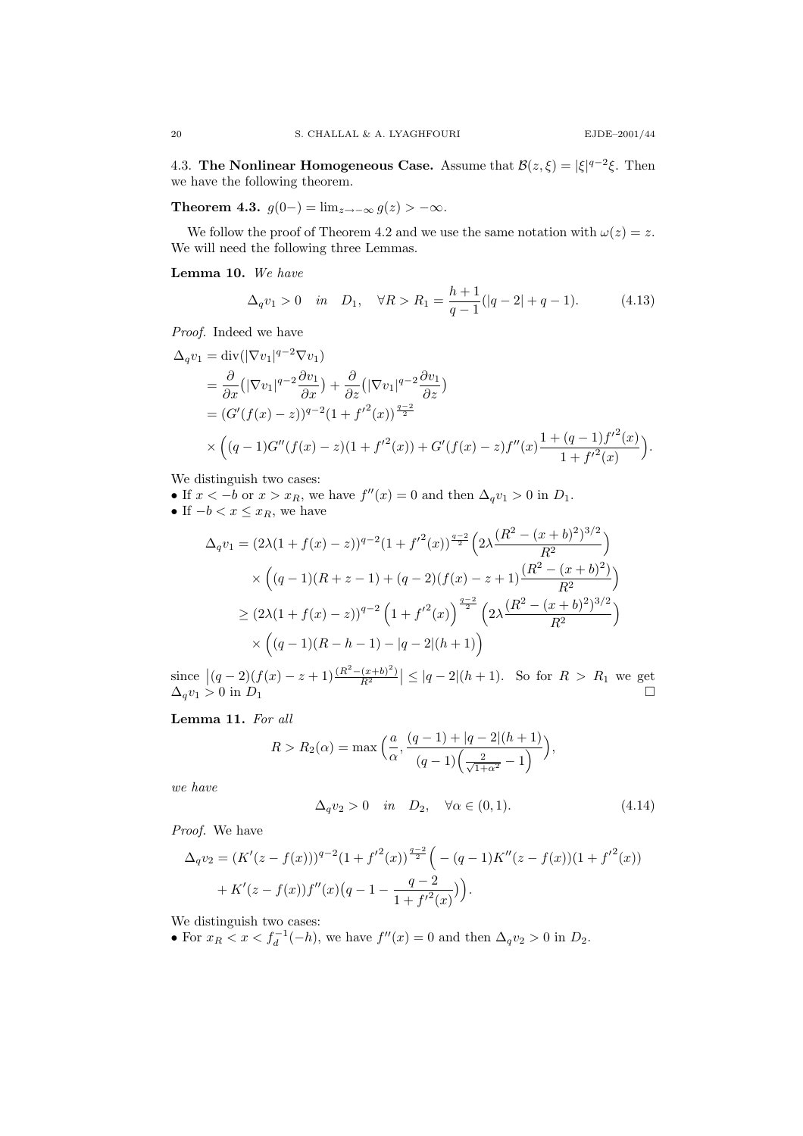4.3. The Nonlinear Homogeneous Case. Assume that  $\mathcal{B}(z,\xi) = |\xi|^{q-2}\xi$ . Then we have the following theorem.

Theorem 4.3.  $g(0-) = \lim_{z \to -\infty} g(z) > -\infty$ .

We follow the proof of Theorem 4.2 and we use the same notation with  $\omega(z) = z$ . We will need the following three Lemmas.

Lemma 10. We have

$$
\Delta_q v_1 > 0 \quad \text{in} \quad D_1, \quad \forall R > R_1 = \frac{h+1}{q-1}(|q-2|+q-1). \tag{4.13}
$$

Proof. Indeed we have

$$
\Delta_q v_1 = \text{div}(|\nabla v_1|^{q-2} \nabla v_1)
$$
  
=  $\frac{\partial}{\partial x} (|\nabla v_1|^{q-2} \frac{\partial v_1}{\partial x}) + \frac{\partial}{\partial z} (|\nabla v_1|^{q-2} \frac{\partial v_1}{\partial z})$   
=  $(G'(f(x) - z))^{q-2} (1 + f'^2(x))^{\frac{q-2}{2}}$   
 $\times ((q-1)G''(f(x) - z)(1 + f'^2(x)) + G'(f(x) - z)f''(x) \frac{1 + (q-1)f'^2(x)}{1 + f'^2(x)}).$ 

We distinguish two cases:

• If  $x < -b$  or  $x > x_R$ , we have  $f''(x) = 0$  and then  $\Delta_q v_1 > 0$  in  $D_1$ .

• If 
$$
-b < x \leq x_R
$$
, we have

$$
\Delta_q v_1 = (2\lambda (1 + f(x) - z))^{q-2} (1 + f'^2(x))^{\frac{q-2}{2}} \left( 2\lambda \frac{(R^2 - (x + b)^2)^{3/2}}{R^2} \right)
$$
  

$$
\times \left( (q-1)(R + z - 1) + (q-2)(f(x) - z + 1) \frac{(R^2 - (x + b)^2)}{R^2} \right)
$$
  

$$
\geq (2\lambda (1 + f(x) - z))^{q-2} \left( 1 + f'^2(x) \right)^{\frac{q-2}{2}} \left( 2\lambda \frac{(R^2 - (x + b)^2)^{3/2}}{R^2} \right)
$$
  

$$
\times \left( (q-1)(R - h - 1) - |q - 2|(h + 1) \right)
$$

since  $|(q-2)(f(x)-z+1)\frac{(R^2-(x+b)^2)}{R^2}|\leq |q-2|(h+1)$ . So for  $R>R_1$  we get  $\Delta_q v_1 > 0$  in  $D_1$ 

Lemma 11. For all

$$
R > R_2(\alpha) = \max\left(\frac{a}{\alpha}, \frac{(q-1) + |q-2|(h+1)}{(q-1)\left(\frac{2}{\sqrt{1+\alpha^2}} - 1\right)}\right),
$$

we have

$$
\Delta_q v_2 > 0 \quad \text{in} \quad D_2, \quad \forall \alpha \in (0, 1). \tag{4.14}
$$

Proof. We have

$$
\Delta_q v_2 = (K'(z - f(x)))^{q-2} (1 + {f'}^2(x))^{\frac{q-2}{2}} \left( -(q-1)K''(z - f(x))(1 + {f'}^2(x)) + K'(z - f(x))f''(x)(q - 1 - \frac{q-2}{1 + {f'}^2(x)}) \right).
$$

We distinguish two cases:

• For  $x_R < x < f_d^{-1}(-h)$ , we have  $f''(x) = 0$  and then  $\Delta_q v_2 > 0$  in  $D_2$ .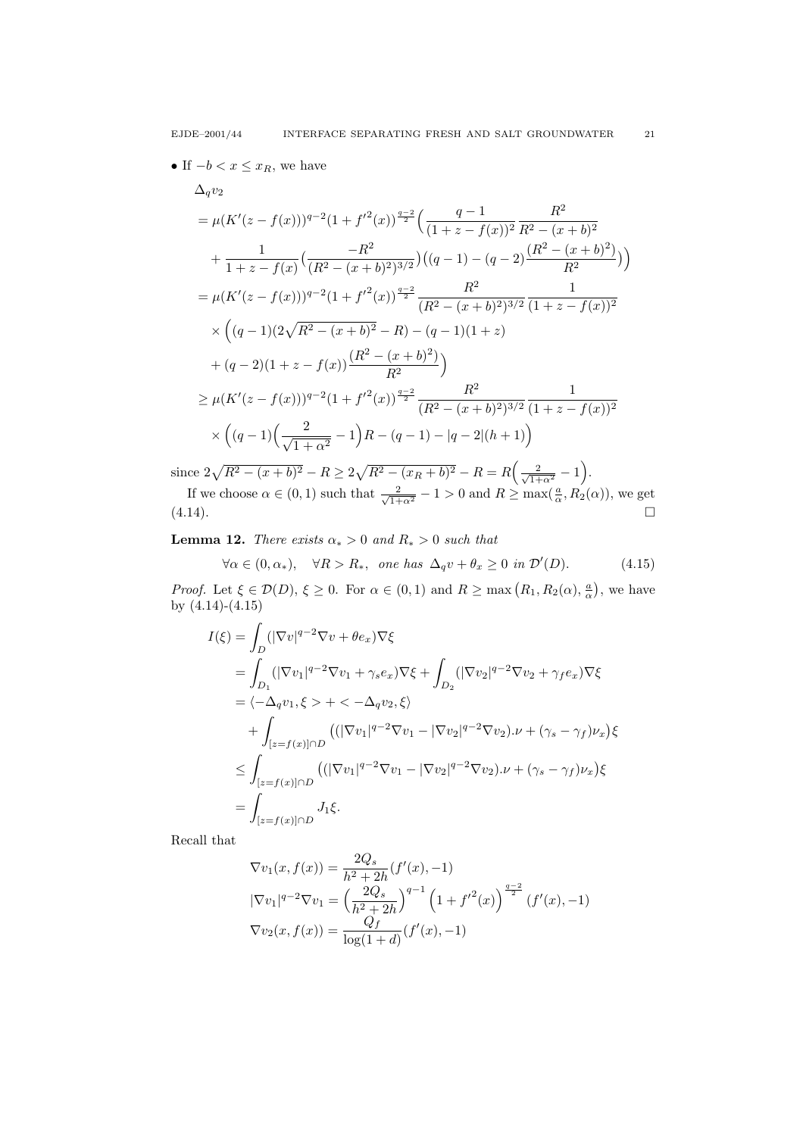• If  $-b < x \leq x_R$ , we have

$$
\Delta_q v_2
$$
\n
$$
= \mu (K'(z - f(x)))^{q-2} (1 + f'^2(x))^{\frac{q-2}{2}} \left( \frac{q-1}{(1+z - f(x))^2} \frac{R^2}{R^2 - (x+b)^2} + \frac{1}{1+z - f(x)} \left( \frac{-R^2}{(R^2 - (x+b)^2)^{3/2}} \right) \left( (q-1) - (q-2) \frac{(R^2 - (x+b)^2)}{R^2} \right) \right)
$$
\n
$$
= \mu (K'(z - f(x)))^{q-2} (1 + f'^2(x))^{\frac{q-2}{2}} \frac{R^2}{(R^2 - (x+b)^2)^{3/2}} \frac{1}{(1+z - f(x))^2}
$$
\n
$$
\times \left( (q-1)(2\sqrt{R^2 - (x+b)^2} - R) - (q-1)(1+z) + (q-2)(1+z - f(x)) \frac{(R^2 - (x+b)^2)}{R^2} \right)
$$
\n
$$
\geq \mu (K'(z - f(x)))^{q-2} (1 + f'^2(x))^{\frac{q-2}{2}} \frac{R^2}{(R^2 - (x+b)^2)^{3/2}} \frac{1}{(1+z - f(x))^2}
$$
\n
$$
\times \left( (q-1) \left( \frac{2}{\sqrt{1+\alpha^2}} - 1 \right) R - (q-1) - |q-2|(h+1) \right)
$$

since  $2\sqrt{R^2 - (x + b)^2} - R \ge 2\sqrt{R^2 - (x_R + b)^2} - R = R\left(\frac{2}{\sqrt{1 + \alpha^2}} - 1\right)$ .

If we choose  $\alpha \in (0, 1)$  such that  $\frac{2}{\sqrt{1+\alpha^2}} - 1 > 0$  and  $R \ge \max(\frac{a}{\alpha}, R_2(\alpha))$ , we get  $(4.14).$ 

**Lemma 12.** There exists  $\alpha_* > 0$  and  $R_* > 0$  such that

$$
\forall \alpha \in (0, \alpha_*), \quad \forall R > R_*, \text{ one has } \Delta_q v + \theta_x \ge 0 \text{ in } \mathcal{D}'(D). \tag{4.15}
$$

*Proof.* Let  $\xi \in \mathcal{D}(D), \xi \ge 0$ . For  $\alpha \in (0,1)$  and  $R \ge \max(R_1, R_2(\alpha), \frac{a}{\alpha})$ , we have by (4.14)-(4.15)

$$
I(\xi) = \int_{D} (|\nabla v|^{q-2} \nabla v + \theta e_x) \nabla \xi
$$
  
\n
$$
= \int_{D_1} (|\nabla v_1|^{q-2} \nabla v_1 + \gamma_s e_x) \nabla \xi + \int_{D_2} (|\nabla v_2|^{q-2} \nabla v_2 + \gamma_f e_x) \nabla \xi
$$
  
\n
$$
= \langle -\Delta_q v_1, \xi \rangle + \langle -\Delta_q v_2, \xi \rangle
$$
  
\n
$$
+ \int_{[z=f(x)] \cap D} ((|\nabla v_1|^{q-2} \nabla v_1 - |\nabla v_2|^{q-2} \nabla v_2) . \nu + (\gamma_s - \gamma_f) \nu_x) \xi
$$
  
\n
$$
\leq \int_{[z=f(x)] \cap D} ((|\nabla v_1|^{q-2} \nabla v_1 - |\nabla v_2|^{q-2} \nabla v_2) . \nu + (\gamma_s - \gamma_f) \nu_x) \xi
$$
  
\n
$$
= \int_{[z=f(x)] \cap D} J_1 \xi.
$$

Recall that

$$
\nabla v_1(x, f(x)) = \frac{2Q_s}{h^2 + 2h} (f'(x), -1)
$$
  
\n
$$
|\nabla v_1|^{q-2} \nabla v_1 = \left(\frac{2Q_s}{h^2 + 2h}\right)^{q-1} \left(1 + {f'}^2(x)\right)^{\frac{q-2}{2}} (f'(x), -1)
$$
  
\n
$$
\nabla v_2(x, f(x)) = \frac{Q_f}{\log(1 + d)} (f'(x), -1)
$$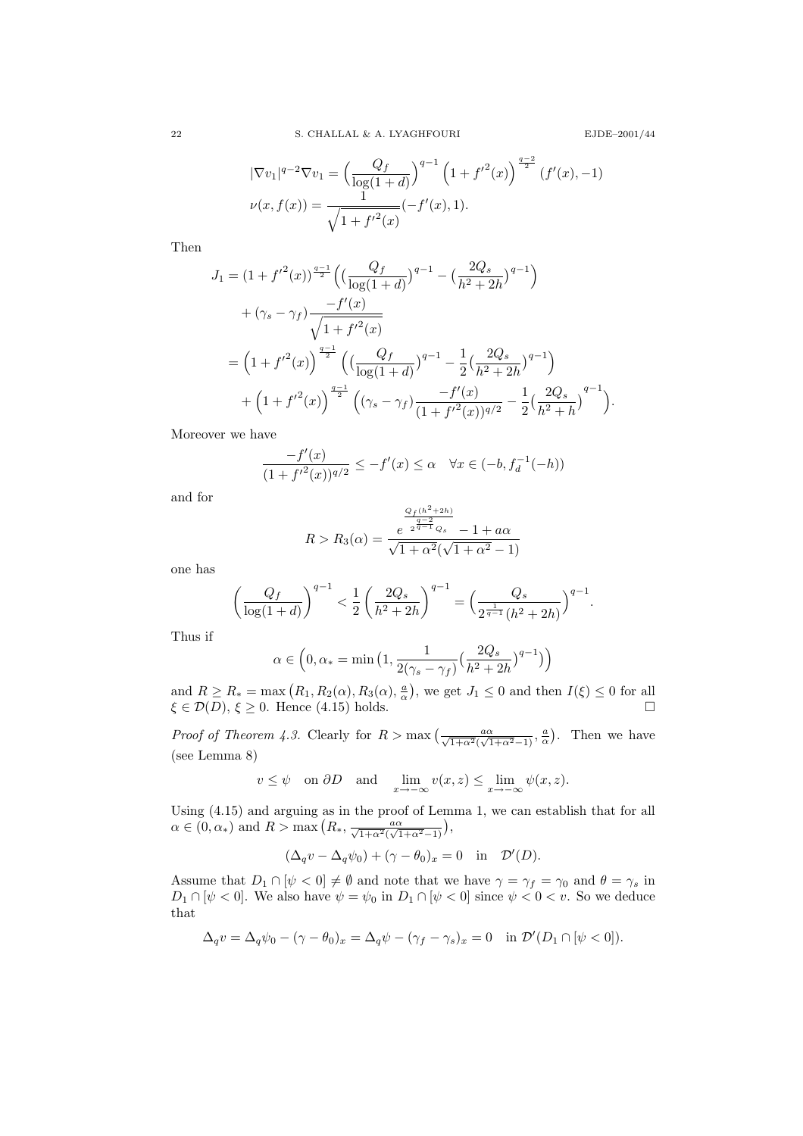$$
E\mathrm{JDE}\text{--}2001/44
$$

$$
|\nabla v_1|^{q-2} \nabla v_1 = \left(\frac{Q_f}{\log(1+d)}\right)^{q-1} \left(1 + {f'}^2(x)\right)^{\frac{q-2}{2}} (f'(x), -1)
$$
  

$$
\nu(x, f(x)) = \frac{1}{\sqrt{1 + {f'}^2(x)}} (-f'(x), 1).
$$

Then

$$
J_1 = (1 + f'^2(x))^{\frac{q-1}{2}} \Big( \left( \frac{Q_f}{\log(1+d)} \right)^{q-1} - \left( \frac{2Q_s}{h^2 + 2h} \right)^{q-1} \Big) + (\gamma_s - \gamma_f) \frac{-f'(x)}{\sqrt{1 + f'^2(x)}} = \left( 1 + f'^2(x) \right)^{\frac{q-1}{2}} \Big( \left( \frac{Q_f}{\log(1+d)} \right)^{q-1} - \frac{1}{2} \left( \frac{2Q_s}{h^2 + 2h} \right)^{q-1} \Big) + \left( 1 + f'^2(x) \right)^{\frac{q-1}{2}} \Big( (\gamma_s - \gamma_f) \frac{-f'(x)}{(1 + f'^2(x))^{q/2}} - \frac{1}{2} \left( \frac{2Q_s}{h^2 + h} \right)^{q-1} \Big).
$$

Moreover we have

$$
\frac{-f'(x)}{(1+f'^2(x))^{q/2}} \le -f'(x) \le \alpha \quad \forall x \in (-b, f_d^{-1}(-h))
$$

and for

$$
R > R_3(\alpha) = \frac{\frac{Q_f(h^2 + 2h)}{q-2}}{\sqrt{1 + \alpha^2}(\sqrt{1 + \alpha^2} - 1)}
$$

one has

$$
\left(\frac{Q_f}{\log(1+d)}\right)^{q-1} < \frac{1}{2}\left(\frac{2Q_s}{h^2+2h}\right)^{q-1} = \Big(\frac{Q_s}{2^{\frac{1}{q-1}}(h^2+2h)}\Big)^{q-1}.
$$

Thus if

$$
\alpha \in \Big(0, \alpha_* = \min \big(1, \frac{1}{2(\gamma_s - \gamma_f)} \big(\frac{2Q_s}{h^2 + 2h} \big)^{q-1} \big) \Big)
$$

and  $R \ge R_* = \max (R_1, R_2(\alpha), R_3(\alpha), \frac{a}{\alpha})$ , we get  $J_1 \le 0$  and then  $I(\xi) \le 0$  for all  $\xi \in \mathcal{D}(D), \xi \ge 0$ . Hence (4.15) holds.

*Proof of Theorem 4.3.* Clearly for  $R > \max\left(\frac{a\alpha}{\sqrt{1+\alpha^2}(\sqrt{1+\alpha^2}-1)}, \frac{a}{\alpha}\right)$ . Then we have (see Lemma 8)

$$
v \leq \psi
$$
 on  $\partial D$  and  $\lim_{x \to -\infty} v(x, z) \leq \lim_{x \to -\infty} \psi(x, z)$ .

Using (4.15) and arguing as in the proof of Lemma 1, we can establish that for all  $\alpha \in (0, \alpha_*)$  and  $R > \max\left(R_*, \frac{a\alpha}{\sqrt{1+\alpha^2}(\sqrt{1+\alpha^2}-1)}\right),$ 

$$
(\Delta_q v - \Delta_q \psi_0) + (\gamma - \theta_0)_x = 0 \quad \text{in} \quad \mathcal{D}'(D).
$$

Assume that  $D_1 \cap [\psi < 0] \neq \emptyset$  and note that we have  $\gamma = \gamma_f = \gamma_0$  and  $\theta = \gamma_s$  in  $D_1 \cap [\psi < 0]$ . We also have  $\psi = \psi_0$  in  $D_1 \cap [\psi < 0]$  since  $\psi < 0 < v$ . So we deduce that

$$
\Delta_q v = \Delta_q \psi_0 - (\gamma - \theta_0)_x = \Delta_q \psi - (\gamma_f - \gamma_s)_x = 0 \quad \text{in } \mathcal{D}'(D_1 \cap [\psi < 0]).
$$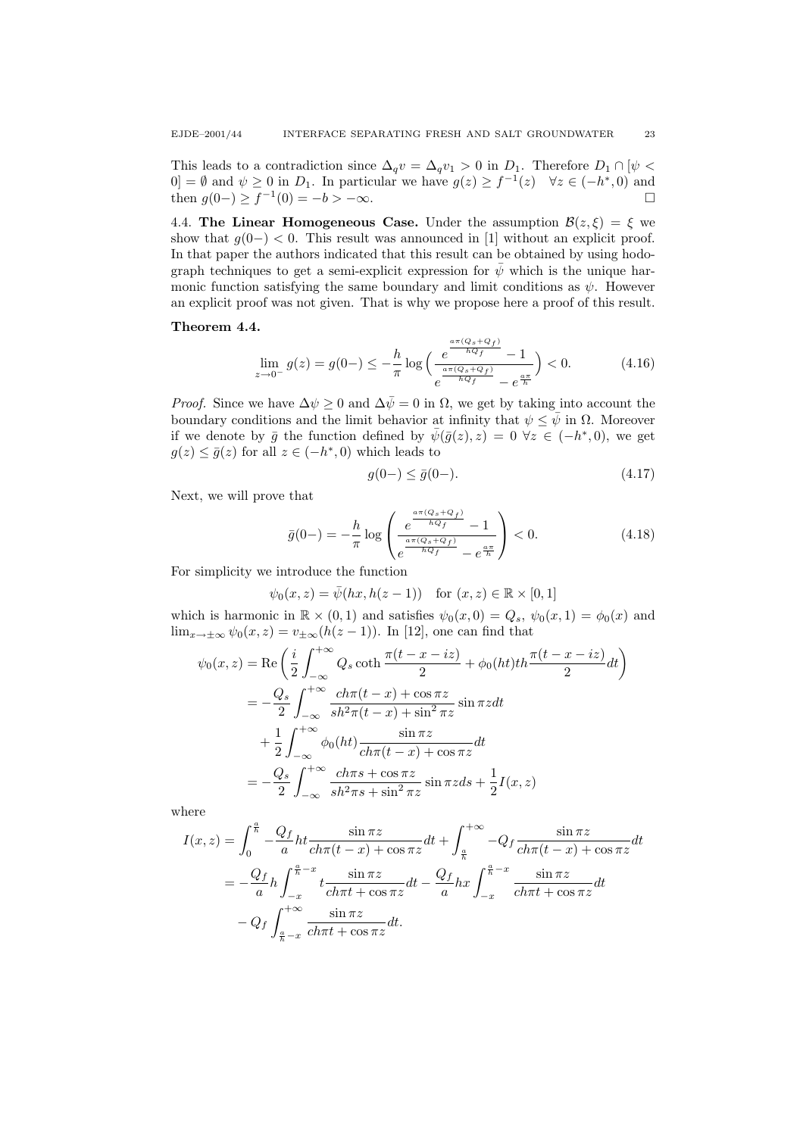This leads to a contradiction since  $\Delta_q v = \Delta_q v_1 > 0$  in  $D_1$ . Therefore  $D_1 \cap [\psi \leq \mathbb{Z}]$  $[0] = \emptyset$  and  $\psi \geq 0$  in  $D_1$ . In particular we have  $g(z) \geq f^{-1}(z)$   $\forall z \in (-h^*, 0)$  and then  $g(0-) \ge f^{-1}(0) = -b > -\infty$ . □

4.4. The Linear Homogeneous Case. Under the assumption  $\mathcal{B}(z,\xi) = \xi$  we show that  $g(0-) < 0$ . This result was announced in [1] without an explicit proof. In that paper the authors indicated that this result can be obtained by using hodograph techniques to get a semi-explicit expression for  $\bar{\psi}$  which is the unique harmonic function satisfying the same boundary and limit conditions as  $\psi$ . However an explicit proof was not given. That is why we propose here a proof of this result.

### Theorem 4.4.

$$
\lim_{z \to 0^{-}} g(z) = g(0-) \le -\frac{h}{\pi} \log \left( \frac{e^{\frac{a\pi (Q_s + Q_f)}{hQ_f}} - 1}{e^{\frac{a\pi (Q_s + Q_f)}{hQ_f}} - e^{\frac{a\pi}{h}}} \right) < 0.
$$
 (4.16)

*Proof.* Since we have  $\Delta \psi \geq 0$  and  $\Delta \bar{\psi} = 0$  in  $\Omega$ , we get by taking into account the boundary conditions and the limit behavior at infinity that  $\psi \leq \bar{\psi}$  in  $\Omega$ . Moreover if we denote by  $\bar{g}$  the function defined by  $\bar{\psi}(\bar{g}(z), z) = 0 \,\forall z \in (-h^*, 0)$ , we get  $g(z) \leq \bar{g}(z)$  for all  $z \in (-h^*, 0)$  which leads to

$$
g(0-) \le \bar{g}(0-). \tag{4.17}
$$

Next, we will prove that

$$
\bar{g}(0-) = -\frac{h}{\pi} \log \left( \frac{e^{\frac{a\pi (Q_s + Q_f)}{hQ_f}} - 1}{e^{\frac{a\pi (Q_s + Q_f)}{hQ_f}} - e^{\frac{a\pi}{h}}} \right) < 0.
$$
\n(4.18)

For simplicity we introduce the function

 $\psi_0(x, z) = \bar{\psi}(hx, h(z-1))$  for  $(x, z) \in \mathbb{R} \times [0, 1]$ 

which is harmonic in  $\mathbb{R} \times (0,1)$  and satisfies  $\psi_0(x,0) = Q_s$ ,  $\psi_0(x,1) = \phi_0(x)$  and  $\lim_{x\to\pm\infty}\psi_0(x,z)=v_{\pm\infty}(h(z-1)).$  In [12], one can find that

$$
\psi_0(x, z) = \text{Re}\left(\frac{i}{2} \int_{-\infty}^{+\infty} Q_s \coth \frac{\pi(t - x - iz)}{2} + \phi_0(ht)th \frac{\pi(t - x - iz)}{2} dt\right)
$$

$$
= -\frac{Q_s}{2} \int_{-\infty}^{+\infty} \frac{ch\pi(t - x) + \cos \pi z}{sh^2 \pi(t - x) + \sin^2 \pi z} \sin \pi z dt
$$

$$
+ \frac{1}{2} \int_{-\infty}^{+\infty} \phi_0(ht) \frac{\sin \pi z}{ch\pi(t - x) + \cos \pi z} dt
$$

$$
= -\frac{Q_s}{2} \int_{-\infty}^{+\infty} \frac{ch\pi s + \cos \pi z}{sh^2 \pi s + \sin^2 \pi z} \sin \pi z ds + \frac{1}{2} I(x, z)
$$

where

$$
I(x, z) = \int_0^{\frac{a}{h}} -\frac{Q_f}{a} ht \frac{\sin \pi z}{ch\pi (t - x) + \cos \pi z} dt + \int_{\frac{a}{h}}^{+\infty} -Q_f \frac{\sin \pi z}{ch\pi (t - x) + \cos \pi z} dt
$$
  

$$
= -\frac{Q_f}{a} h \int_{-x}^{\frac{a}{h} - x} t \frac{\sin \pi z}{ch\pi t + \cos \pi z} dt - \frac{Q_f}{a} h x \int_{-x}^{\frac{a}{h} - x} \frac{\sin \pi z}{ch\pi t + \cos \pi z} dt
$$
  

$$
-Q_f \int_{\frac{a}{h} - x}^{+\infty} \frac{\sin \pi z}{ch\pi t + \cos \pi z} dt.
$$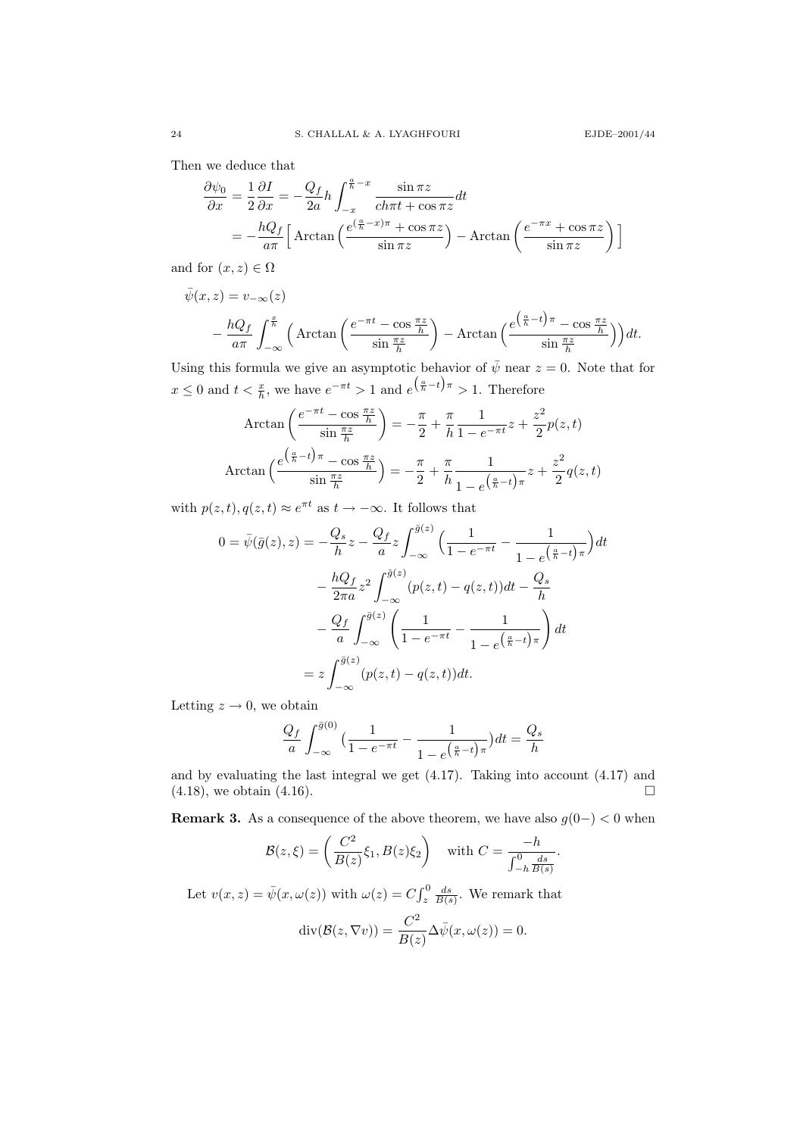Then we deduce that

$$
\frac{\partial \psi_0}{\partial x} = \frac{1}{2} \frac{\partial I}{\partial x} = -\frac{Q_f}{2a} h \int_{-x}^{\frac{a}{h}-x} \frac{\sin \pi z}{ch \pi t + \cos \pi z} dt
$$
  
=  $-\frac{hQ_f}{a \pi} \Big[ \arctan \Big( \frac{e^{(\frac{a}{h}-x)\pi} + \cos \pi z}{\sin \pi z} \Big) - \arctan \Big( \frac{e^{-\pi x} + \cos \pi z}{\sin \pi z} \Big) \Big]$ 

and for  $(x, z) \in \Omega$ 

$$
\bar{\psi}(x,z) = v_{-\infty}(z)
$$
\n
$$
- \frac{hQ_f}{a\pi} \int_{-\infty}^{\frac{x}{h}} \left( \arctan\left(\frac{e^{-\pi t} - \cos\frac{\pi z}{h}}{\sin\frac{\pi z}{h}}\right) - \arctan\left(\frac{e^{\left(\frac{a}{h} - t\right)\pi} - \cos\frac{\pi z}{h}}{\sin\frac{\pi z}{h}}\right) \right) dt.
$$

Using this formula we give an asymptotic behavior of  $\bar{\psi}$  near  $z = 0$ . Note that for  $x \leq 0$  and  $t < \frac{x}{h}$ , we have  $e^{-\pi t} > 1$  and  $e^{(\frac{a}{h} - t)\pi} > 1$ . Therefore

$$
\operatorname{Arctan}\left(\frac{e^{-\pi t} - \cos\frac{\pi z}{h}}{\sin\frac{\pi z}{h}}\right) = -\frac{\pi}{2} + \frac{\pi}{h}\frac{1}{1 - e^{-\pi t}}z + \frac{z^2}{2}p(z, t)
$$
\n
$$
\operatorname{Arctan}\left(\frac{e^{\left(\frac{a}{h} - t\right)\pi} - \cos\frac{\pi z}{h}}{\sin\frac{\pi z}{h}}\right) = -\frac{\pi}{2} + \frac{\pi}{h}\frac{1}{1 - e^{\left(\frac{a}{h} - t\right)\pi}}z + \frac{z^2}{2}q(z, t)
$$

with  $p(z, t), q(z, t) \approx e^{\pi t}$  as  $t \to -\infty$ . It follows that

$$
0 = \bar{\psi}(\bar{g}(z), z) = -\frac{Q_s}{h} z - \frac{Q_f}{a} z \int_{-\infty}^{\bar{g}(z)} \left(\frac{1}{1 - e^{-\pi t}} - \frac{1}{1 - e^{\left(\frac{a}{h} - t\right)\pi}}\right) dt
$$

$$
- \frac{hQ_f}{2\pi a} z^2 \int_{-\infty}^{\bar{g}(z)} (p(z, t) - q(z, t)) dt - \frac{Q_s}{h}
$$

$$
- \frac{Q_f}{a} \int_{-\infty}^{\bar{g}(z)} \left(\frac{1}{1 - e^{-\pi t}} - \frac{1}{1 - e^{\left(\frac{a}{h} - t\right)\pi}}\right) dt
$$

$$
= z \int_{-\infty}^{\bar{g}(z)} (p(z, t) - q(z, t)) dt.
$$

Letting  $z \to 0$ , we obtain

$$
\frac{Q_f}{a} \int_{-\infty}^{\bar{g}(0)} \left( \frac{1}{1 - e^{-\pi t}} - \frac{1}{1 - e^{\left(\frac{a}{h} - t\right)\pi}} \right) dt = \frac{Q_s}{h}
$$

and by evaluating the last integral we get (4.17). Taking into account (4.17) and  $(4.18)$ , we obtain  $(4.16)$ .

**Remark 3.** As a consequence of the above theorem, we have also  $g(0-) < 0$  when

$$
\mathcal{B}(z,\xi) = \left(\frac{C^2}{B(z)}\xi_1, B(z)\xi_2\right) \quad \text{with } C = \frac{-h}{\int_{-h}^0 \frac{ds}{B(s)}}.
$$

Let  $v(x, z) = \bar{\psi}(x, \omega(z))$  with  $\omega(z) = C \int_z^0 \frac{ds}{B(s)}$ . We remark that  $\operatorname{div}(\mathcal{B}(z,\nabla v)) = \frac{C^2}{R^2}$  $\frac{C}{B(z)}\Delta \bar{\psi}(x,\omega(z))=0.$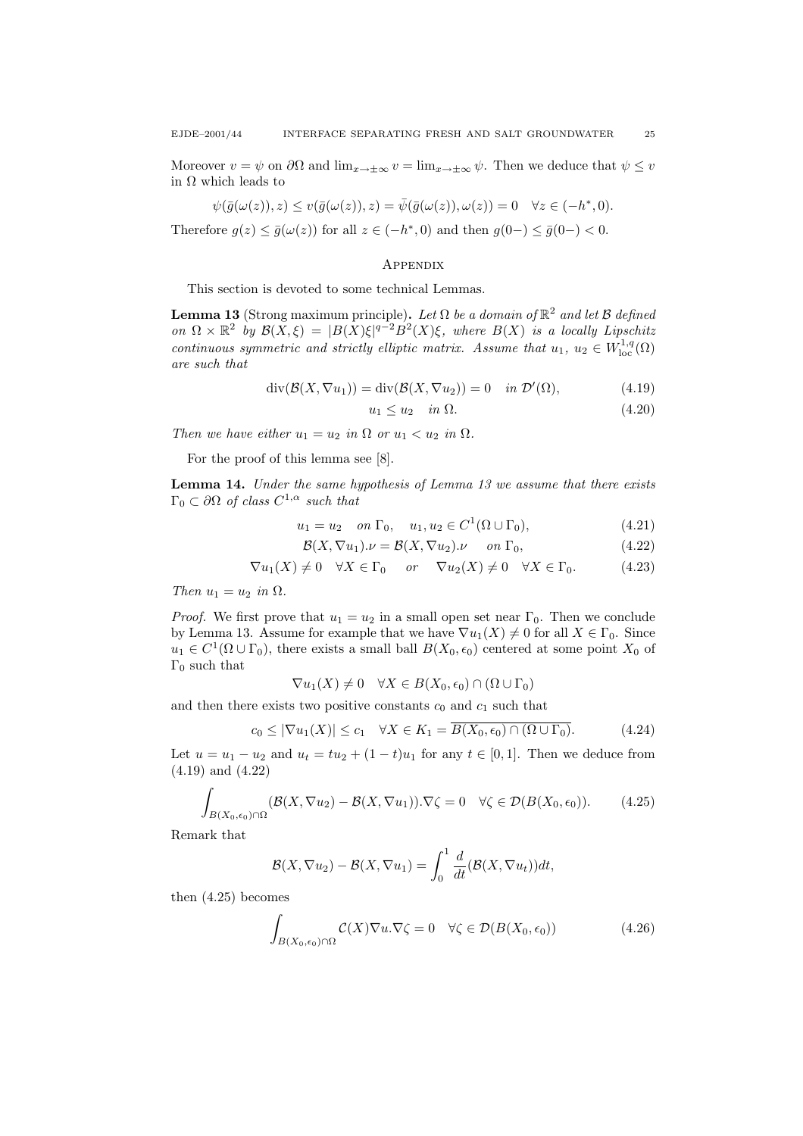Moreover  $v = \psi$  on  $\partial\Omega$  and  $\lim_{x\to\pm\infty} v = \lim_{x\to\pm\infty} \psi$ . Then we deduce that  $\psi \leq v$ in Ω which leads to

$$
\psi(\bar{g}(\omega(z)), z) \le v(\bar{g}(\omega(z)), z) = \bar{\psi}(\bar{g}(\omega(z)), \omega(z)) = 0 \quad \forall z \in (-h^*, 0).
$$

Therefore  $g(z) \le \overline{g}(\omega(z))$  for all  $z \in (-h^*, 0)$  and then  $g(0-) \le \overline{g}(0-) < 0$ .

### **APPENDIX**

This section is devoted to some technical Lemmas.

**Lemma 13** (Strong maximum principle). Let  $\Omega$  be a domain of  $\mathbb{R}^2$  and let  $\mathcal{B}$  defined on  $\Omega \times \mathbb{R}^2$  by  $\mathcal{B}(X,\xi) = |B(X)\xi|^{q-2}B^2(X)\xi$ , where  $B(X)$  is a locally Lipschitz continuous symmetric and strictly elliptic matrix. Assume that  $u_1, u_2 \in W^{1,q}_{loc}(\Omega)$ are such that

$$
\operatorname{div}(\mathcal{B}(X,\nabla u_1)) = \operatorname{div}(\mathcal{B}(X,\nabla u_2)) = 0 \quad \text{in } \mathcal{D}'(\Omega), \tag{4.19}
$$

$$
u_1 \le u_2 \quad in \ \Omega. \tag{4.20}
$$

Then we have either  $u_1 = u_2$  in  $\Omega$  or  $u_1 < u_2$  in  $\Omega$ .

For the proof of this lemma see [8].

Lemma 14. Under the same hypothesis of Lemma 13 we assume that there exists  $\Gamma_0 \subset \partial \Omega$  of class  $C^{1,\alpha}$  such that

$$
u_1 = u_2 \quad on \ \Gamma_0, \quad u_1, u_2 \in C^1(\Omega \cup \Gamma_0), \tag{4.21}
$$

$$
\mathcal{B}(X, \nabla u_1). \nu = \mathcal{B}(X, \nabla u_2). \nu \quad on \Gamma_0,
$$
\n(4.22)

$$
\nabla u_1(X) \neq 0 \quad \forall X \in \Gamma_0 \quad or \quad \nabla u_2(X) \neq 0 \quad \forall X \in \Gamma_0. \tag{4.23}
$$

Then  $u_1 = u_2$  in  $\Omega$ .

*Proof.* We first prove that  $u_1 = u_2$  in a small open set near  $\Gamma_0$ . Then we conclude by Lemma 13. Assume for example that we have  $\nabla u_1(X) \neq 0$  for all  $X \in \Gamma_0$ . Since  $u_1 \in C^1(\Omega \cup \Gamma_0)$ , there exists a small ball  $B(X_0, \epsilon_0)$  centered at some point  $X_0$  of  $\Gamma_0$  such that

$$
\nabla u_1(X) \neq 0 \quad \forall X \in B(X_0, \epsilon_0) \cap (\Omega \cup \Gamma_0)
$$

and then there exists two positive constants  $c_0$  and  $c_1$  such that

$$
c_0 \le |\nabla u_1(X)| \le c_1 \quad \forall X \in K_1 = \overline{B(X_0, \epsilon_0) \cap (\Omega \cup \Gamma_0)}.
$$
 (4.24)

Let  $u = u_1 - u_2$  and  $u_t = tu_2 + (1 - t)u_1$  for any  $t \in [0, 1]$ . Then we deduce from (4.19) and (4.22)

$$
\int_{B(X_0,\epsilon_0)\cap\Omega} (\mathcal{B}(X,\nabla u_2) - \mathcal{B}(X,\nabla u_1)).\nabla \zeta = 0 \quad \forall \zeta \in \mathcal{D}(B(X_0,\epsilon_0)).\tag{4.25}
$$

Remark that

$$
\mathcal{B}(X,\nabla u_2) - \mathcal{B}(X,\nabla u_1) = \int_0^1 \frac{d}{dt} (\mathcal{B}(X,\nabla u_t))dt,
$$

then (4.25) becomes

$$
\int_{B(X_0,\epsilon_0)\cap\Omega} C(X)\nabla u.\nabla \zeta = 0 \quad \forall \zeta \in \mathcal{D}(B(X_0,\epsilon_0))
$$
\n(4.26)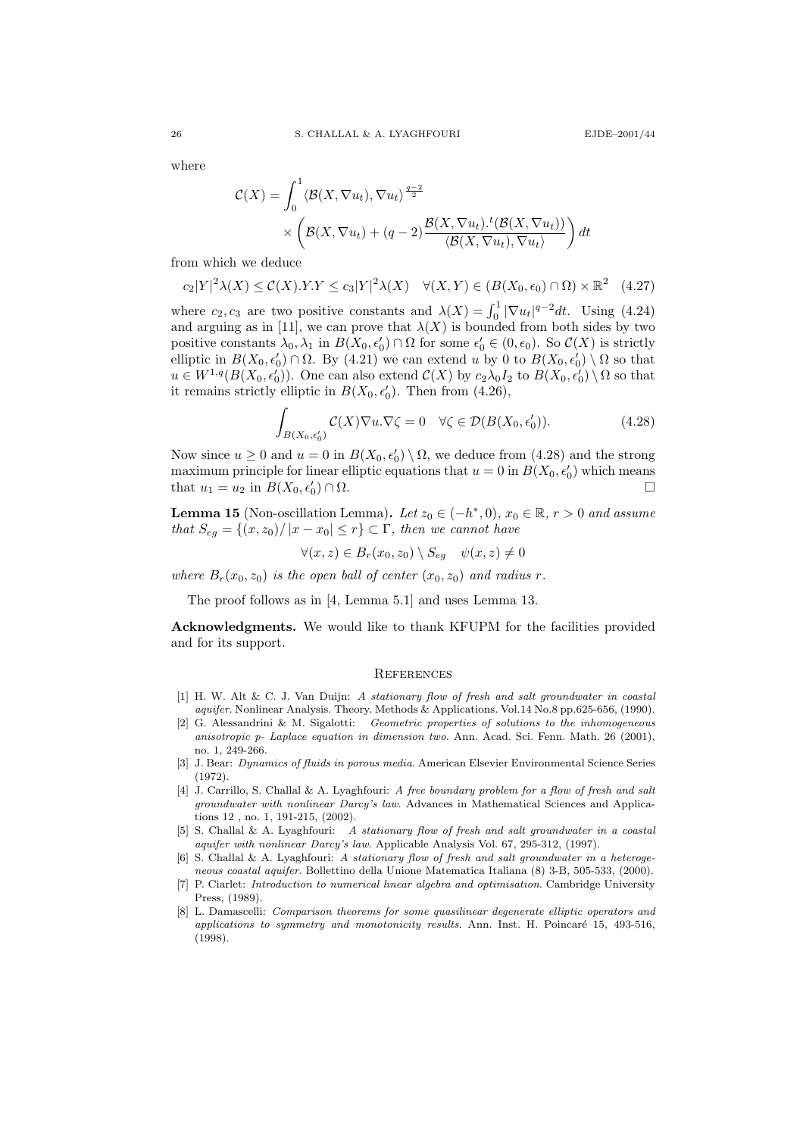where

$$
\mathcal{C}(X) = \int_0^1 \langle \mathcal{B}(X, \nabla u_t), \nabla u_t \rangle \frac{q-2}{2} \times \left( \mathcal{B}(X, \nabla u_t) + (q-2) \frac{\mathcal{B}(X, \nabla u_t) \cdot ^t (\mathcal{B}(X, \nabla u_t))}{\langle \mathcal{B}(X, \nabla u_t), \nabla u_t \rangle} \right) dt
$$

from which we deduce

 $c_2|Y|^2\lambda(X) \leq \mathcal{C}(X).Y.Y \leq c_3|Y|^2\lambda(X) \quad \forall (X,Y) \in (B(X_0,\epsilon_0) \cap \Omega) \times \mathbb{R}^2 \quad (4.27)$ 

where  $c_2, c_3$  are two positive constants and  $\lambda(X) = \int_0^1 |\nabla u_t|^{q-2} dt$ . Using (4.24) and arguing as in [11], we can prove that  $\lambda(X)$  is bounded from both sides by two positive constants  $\lambda_0, \lambda_1$  in  $B(X_0, \epsilon'_0) \cap \Omega$  for some  $\epsilon'_0 \in (0, \epsilon_0)$ . So  $\mathcal{C}(X)$  is strictly elliptic in  $B(X_0, \epsilon'_0) \cap \Omega$ . By (4.21) we can extend u by 0 to  $B(X_0, \epsilon'_0) \setminus \Omega$  so that  $u \in W^{1,q}(B(X_0, \epsilon'_0))$ . One can also extend  $\mathcal{C}(X)$  by  $c_2\lambda_0I_2$  to  $B(X_0, \epsilon'_0) \setminus \Omega$  so that it remains strictly elliptic in  $B(X_0, \epsilon'_0)$ . Then from (4.26),

$$
\int_{B(X_0,\epsilon'_0)} \mathcal{C}(X)\nabla u.\nabla \zeta = 0 \quad \forall \zeta \in \mathcal{D}(B(X_0,\epsilon'_0)).
$$
\n(4.28)

Now since  $u \ge 0$  and  $u = 0$  in  $B(X_0, \epsilon'_0) \setminus \Omega$ , we deduce from (4.28) and the strong maximum principle for linear elliptic equations that  $u = 0$  in  $B(X_0, \epsilon'_0)$  which means that  $u_1 = u_2$  in  $B(X_0, \epsilon'_0)$  $) \cap \Omega$ .

**Lemma 15** (Non-oscillation Lemma). Let  $z_0 \in (-h^*, 0)$ ,  $x_0 \in \mathbb{R}$ ,  $r > 0$  and assume that  $S_{eg} = \{(x, z_0)/|x - x_0| \le r\} \subset \Gamma$ , then we cannot have

$$
\forall (x, z) \in B_r(x_0, z_0) \setminus S_{eg} \quad \psi(x, z) \neq 0
$$

where  $B_r(x_0, z_0)$  is the open ball of center  $(x_0, z_0)$  and radius r.

The proof follows as in [4, Lemma 5.1] and uses Lemma 13.

Acknowledgments. We would like to thank KFUPM for the facilities provided and for its support.

### **REFERENCES**

- [1] H. W. Alt & C. J. Van Duijn: A stationary flow of fresh and salt groundwater in coastal aquifer. Nonlinear Analysis. Theory. Methods & Applications. Vol.14 No.8 pp.625-656, (1990).
- [2] G. Alessandrini & M. Sigalotti: Geometric properties of solutions to the inhomogeneous anisotropic p- Laplace equation in dimension two. Ann. Acad. Sci. Fenn. Math. 26 (2001), no. 1, 249-266.
- [3] J. Bear: Dynamics of fluids in porous media. American Elsevier Environmental Science Series (1972).
- [4] J. Carrillo, S. Challal & A. Lyaghfouri: A free boundary problem for a flow of fresh and salt groundwater with nonlinear Darcy's law. Advances in Mathematical Sciences and Applications 12 , no. 1, 191-215, (2002).
- [5] S. Challal & A. Lyaghfouri: A stationary flow of fresh and salt groundwater in a coastal aquifer with nonlinear Darcy's law. Applicable Analysis Vol. 67, 295-312, (1997).
- [6] S. Challal & A. Lyaghfouri: A stationary flow of fresh and salt groundwater in a heterogeneous coastal aquifer. Bollettino della Unione Matematica Italiana (8) 3-B, 505-533, (2000).
- [7] P. Ciarlet: Introduction to numerical linear algebra and optimisation. Cambridge University Press, (1989).
- [8] L. Damascelli: Comparison theorems for some quasilinear degenerate elliptic operators and applications to symmetry and monotonicity results. Ann. Inst. H. Poincaré 15, 493-516. (1998).